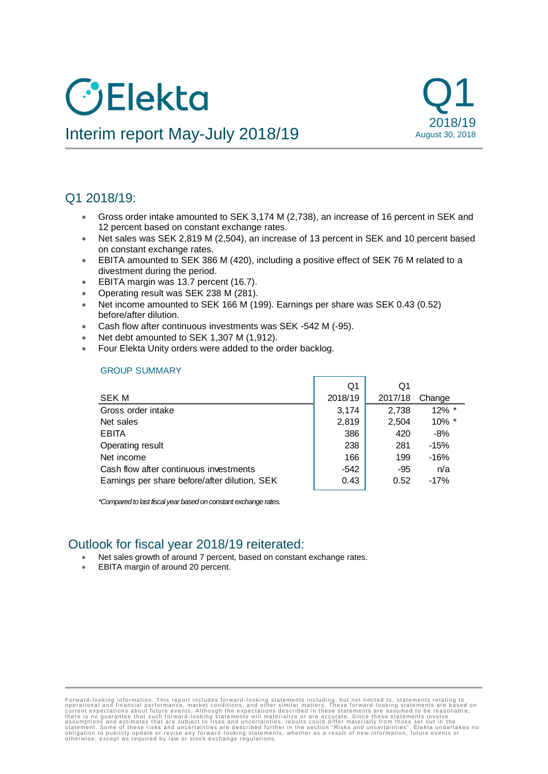# **O**Elekta



## Interim report May-July 2018/19

### Q1 2018/19:

- Gross order intake amounted to SEK 3,174 M (2,738), an increase of 16 percent in SEK and 12 percent based on constant exchange rates.
- Net sales was SEK 2,819 M (2,504), an increase of 13 percent in SEK and 10 percent based on constant exchange rates.
- EBITA amounted to SEK 386 M (420), including a positive effect of SEK 76 M related to a divestment during the period.
- **EBITA margin was 13.7 percent (16.7).**
- Operating result was SEK 238 M (281).
- Net income amounted to SEK 166 M (199). Earnings per share was SEK 0.43 (0.52) before/after dilution.
- Cash flow after continuous investments was SEK -542 M (-95).
- Net debt amounted to SEK 1,307 M (1,912).
- Four Elekta Unity orders were added to the order backlog.

#### GROUP SUMMARY

|                                               | Q1      | Q1      |          |
|-----------------------------------------------|---------|---------|----------|
| <b>SEK M</b>                                  | 2018/19 | 2017/18 | Change   |
| Gross order intake                            | 3,174   | 2,738   | $12\%$ * |
| Net sales                                     | 2,819   | 2,504   | 10% *    |
| <b>EBITA</b>                                  | 386     | 420     | $-8%$    |
| Operating result                              | 238     | 281     | $-15%$   |
| Net income                                    | 166     | 199     | $-16%$   |
| Cash flow after continuous investments        | -542    | -95     | n/a      |
| Earnings per share before/after dilution, SEK | 0.43    | 0.52    | $-17%$   |

*\*Compared to last fiscal year based on constant exchange rates.*

### Outlook for fiscal year 2018/19 reiterated:

- Net sales growth of around 7 percent, based on constant exchange rates.
- EBITA margin of around 20 percent.

Forward-looking information. This report includes forward-looking statements including, but not limited to, statements relating to<br>operational and financial performance, market conditions, and other similar matters. These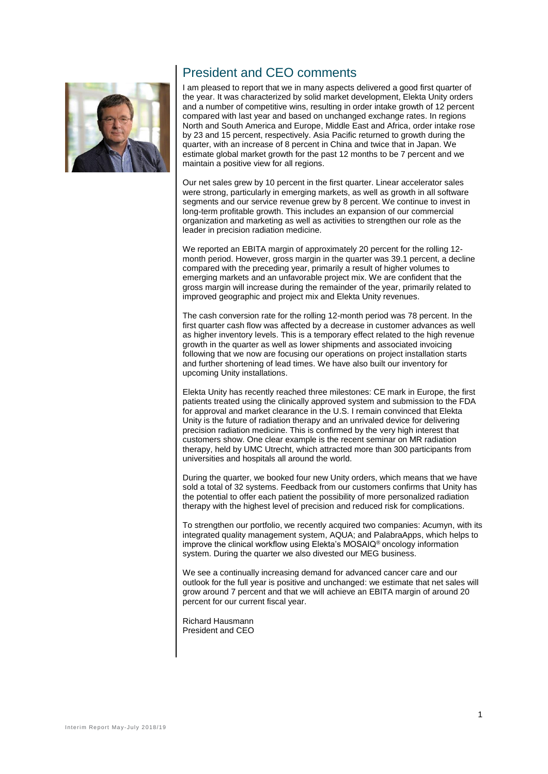### President and CEO comments

I am pleased to report that we in many aspects delivered a good first quarter of the year. It was characterized by solid market development, Elekta Unity orders and a number of competitive wins, resulting in order intake growth of 12 percent compared with last year and based on unchanged exchange rates. In regions North and South America and Europe, Middle East and Africa, order intake rose by 23 and 15 percent, respectively. Asia Pacific returned to growth during the quarter, with an increase of 8 percent in China and twice that in Japan. We estimate global market growth for the past 12 months to be 7 percent and we maintain a positive view for all regions.

Our net sales grew by 10 percent in the first quarter. Linear accelerator sales were strong, particularly in emerging markets, as well as growth in all software segments and our service revenue grew by 8 percent. We continue to invest in long-term profitable growth. This includes an expansion of our commercial organization and marketing as well as activities to strengthen our role as the leader in precision radiation medicine.

We reported an EBITA margin of approximately 20 percent for the rolling 12 month period. However, gross margin in the quarter was 39.1 percent, a decline compared with the preceding year, primarily a result of higher volumes to emerging markets and an unfavorable project mix. We are confident that the gross margin will increase during the remainder of the year, primarily related to improved geographic and project mix and Elekta Unity revenues.

The cash conversion rate for the rolling 12-month period was 78 percent. In the first quarter cash flow was affected by a decrease in customer advances as well as higher inventory levels. This is a temporary effect related to the high revenue growth in the quarter as well as lower shipments and associated invoicing following that we now are focusing our operations on project installation starts and further shortening of lead times. We have also built our inventory for upcoming Unity installations.

Elekta Unity has recently reached three milestones: CE mark in Europe, the first patients treated using the clinically approved system and submission to the FDA for approval and market clearance in the U.S. I remain convinced that Elekta Unity is the future of radiation therapy and an unrivaled device for delivering precision radiation medicine. This is confirmed by the very high interest that customers show. One clear example is the recent seminar on MR radiation therapy, held by UMC Utrecht, which attracted more than 300 participants from universities and hospitals all around the world.

During the quarter, we booked four new Unity orders, which means that we have sold a total of 32 systems. Feedback from our customers confirms that Unity has the potential to offer each patient the possibility of more personalized radiation therapy with the highest level of precision and reduced risk for complications.

To strengthen our portfolio, we recently acquired two companies: Acumyn, with its integrated quality management system, AQUA; and PalabraApps, which helps to improve the clinical workflow using Elekta's MOSAIQ® oncology information system. During the quarter we also divested our MEG business.

We see a continually increasing demand for advanced cancer care and our outlook for the full year is positive and unchanged: we estimate that net sales will grow around 7 percent and that we will achieve an EBITA margin of around 20 percent for our current fiscal year.

Richard Hausmann President and CEO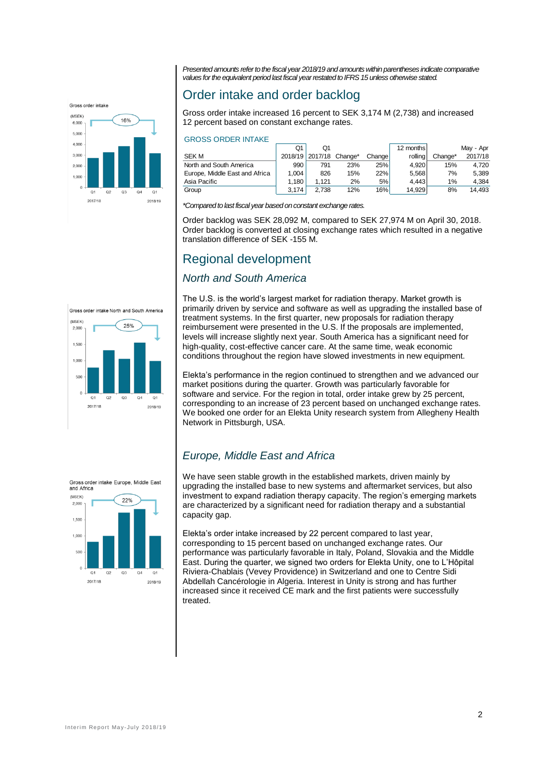Gross order intake



*Presented amounts refer to the fiscal year 2018/19 and amounts within parentheses indicate comparative values for the equivalent period last fiscal year restated to IFRS 15 unless otherwise stated.*

### Order intake and order backlog

Gross order intake increased 16 percent to SEK 3,174 M (2,738) and increased 12 percent based on constant exchange rates.

#### GROSS ORDER INTAKE

|                                | Q1    | Ο1                      |     |            | 12 months |         | Mav - Apr |
|--------------------------------|-------|-------------------------|-----|------------|-----------|---------|-----------|
| <b>SEK M</b>                   |       | 2018/19 2017/18 Change* |     | Changel    | rollina   | Change* | 2017/18   |
| North and South America        | 990   | 791                     | 23% | 25%l       | 4.920     | 15%     | 4.720     |
| Europe, Middle East and Africa | 1.004 | 826                     | 15% | <b>22%</b> | 5.568     | 7%      | 5.389     |
| Asia Pacific                   | 1.180 | 1.121                   | 2%  | 5%         | 4.443     | 1%      | 4.384     |
| Group                          | 3.174 | 2.738                   | 12% | 16%        | 14.929    | 8%      | 14.493    |

*\*Compared to last fiscal year based on constant exchange rates.*

Order backlog was SEK 28,092 M, compared to SEK 27,974 M on April 30, 2018. Order backlog is converted at closing exchange rates which resulted in a negative translation difference of SEK -155 M.

### Regional development

### *North and South America*

Gross order intake North and South America



The U.S. is the world's largest market for radiation therapy. Market growth is primarily driven by service and software as well as upgrading the installed base of treatment systems. In the first quarter, new proposals for radiation therapy reimbursement were presented in the U.S. If the proposals are implemented, levels will increase slightly next year. South America has a significant need for high-quality, cost-effective cancer care. At the same time, weak economic conditions throughout the region have slowed investments in new equipment.

Elekta's performance in the region continued to strengthen and we advanced our market positions during the quarter. Growth was particularly favorable for software and service. For the region in total, order intake grew by 25 percent, corresponding to an increase of 23 percent based on unchanged exchange rates. We booked one order for an Elekta Unity research system from Allegheny Health Network in Pittsburgh, USA.

### *Europe, Middle East and Africa*

We have seen stable growth in the established markets, driven mainly by upgrading the installed base to new systems and aftermarket services, but also investment to expand radiation therapy capacity. The region's emerging markets are characterized by a significant need for radiation therapy and a substantial capacity gap.

Elekta's order intake increased by 22 percent compared to last year, corresponding to 15 percent based on unchanged exchange rates. Our performance was particularly favorable in Italy, Poland, Slovakia and the Middle East. During the quarter, we signed two orders for Elekta Unity, one to L'Hôpital Riviera-Chablais (Vevey Providence) in Switzerland and one to Centre Sidi Abdellah Cancérologie in Algeria. Interest in Unity is strong and has further increased since it received CE mark and the first patients were successfully treated.

Gross order intake Europe, Middle East<br>and Africa

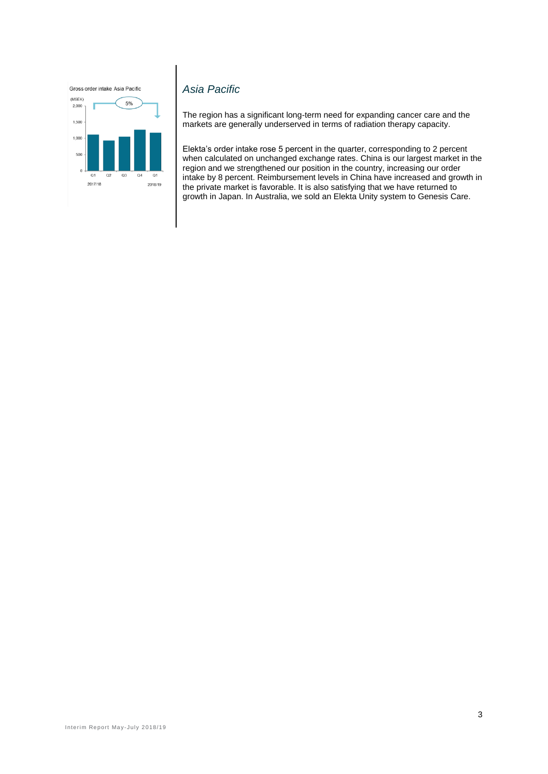Gross order intake Asia Pacific



### *Asia Pacific*

The region has a significant long-term need for expanding cancer care and the markets are generally underserved in terms of radiation therapy capacity.

Elekta's order intake rose 5 percent in the quarter, corresponding to 2 percent when calculated on unchanged exchange rates. China is our largest market in the region and we strengthened our position in the country, increasing our order intake by 8 percent. Reimbursement levels in China have increased and growth in the private market is favorable. It is also satisfying that we have returned to growth in Japan. In Australia, we sold an Elekta Unity system to Genesis Care.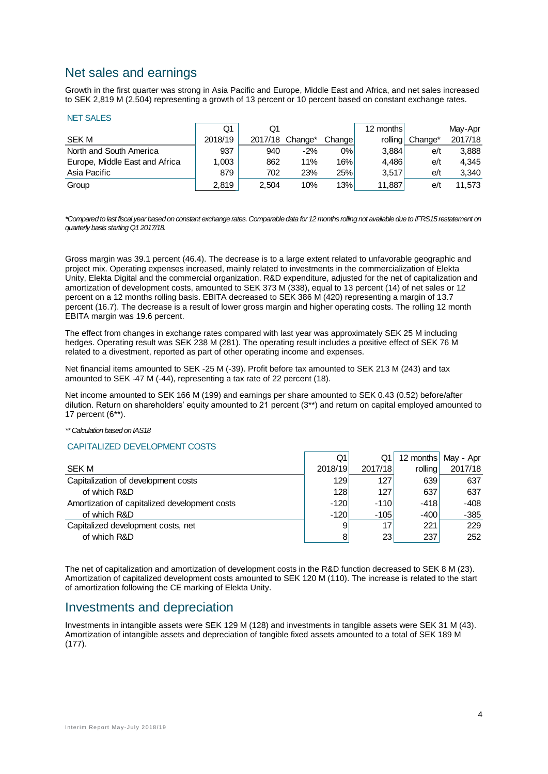### Net sales and earnings

Growth in the first quarter was strong in Asia Pacific and Europe, Middle East and Africa, and net sales increased to SEK 2,819 M (2,504) representing a growth of 13 percent or 10 percent based on constant exchange rates.

#### NET SALES

|                                | Q1      | Q1    |                 |        | 12 months |         | May-Apr |
|--------------------------------|---------|-------|-----------------|--------|-----------|---------|---------|
| <b>SEK M</b>                   | 2018/19 |       | 2017/18 Change* | Change | rollina   | Change* | 2017/18 |
| North and South America        | 937     | 940   | $-2%$           | 0%     | 3.884     | e/t     | 3.888   |
| Europe, Middle East and Africa | 1.003   | 862   | 11%             | 16%    | 4.486     | e/t     | 4.345   |
| Asia Pacific                   | 879     | 702   | 23%             | 25%    | 3.517     | e/t     | 3.340   |
| Group                          | 2.819   | 2.504 | 10%             | 13%    | 11.887    | e/t     | 11.573  |

*\*Compared to last fiscal year based on constant exchange rates. Comparable data for 12 months rolling not available due to IFRS15 restatement on quarterly basis starting Q1 2017/18.*

Gross margin was 39.1 percent (46.4). The decrease is to a large extent related to unfavorable geographic and project mix. Operating expenses increased, mainly related to investments in the commercialization of Elekta Unity, Elekta Digital and the commercial organization. R&D expenditure, adjusted for the net of capitalization and amortization of development costs, amounted to SEK 373 M (338), equal to 13 percent (14) of net sales or 12 percent on a 12 months rolling basis. EBITA decreased to SEK 386 M (420) representing a margin of 13.7 percent (16.7). The decrease is a result of lower gross margin and higher operating costs. The rolling 12 month EBITA margin was 19.6 percent.

The effect from changes in exchange rates compared with last year was approximately SEK 25 M including hedges. Operating result was SEK 238 M (281). The operating result includes a positive effect of SEK 76 M related to a divestment, reported as part of other operating income and expenses.

Net financial items amounted to SEK -25 M (-39). Profit before tax amounted to SEK 213 M (243) and tax amounted to SEK -47 M (-44), representing a tax rate of 22 percent (18).

Net income amounted to SEK 166 M (199) and earnings per share amounted to SEK 0.43 (0.52) before/after dilution. Return on shareholders' equity amounted to 21 percent (3\*\*) and return on capital employed amounted to 17 percent (6\*\*).

#### *\*\* Calculation based on IAS18*

#### CAPITALIZED DEVELOPMENT COSTS

|                                               | Q1      | Q1      |         | 12 months May - Apr |
|-----------------------------------------------|---------|---------|---------|---------------------|
| <b>SEK M</b>                                  | 2018/19 | 2017/18 | rolling | 2017/18             |
| Capitalization of development costs           | 129     | 127     | 639     | 637                 |
| of which R&D                                  | 128     | 127     | 637     | 637                 |
| Amortization of capitalized development costs | $-120$  | $-110$  | $-418$  | -408                |
| of which R&D                                  | $-120$  | $-105$  | $-400$  | $-385$              |
| Capitalized development costs, net            | 9       | 17      | 221     | 229                 |
| of which R&D                                  | 8       | 23      | 237     | 252                 |

The net of capitalization and amortization of development costs in the R&D function decreased to SEK 8 M (23). Amortization of capitalized development costs amounted to SEK 120 M (110). The increase is related to the start of amortization following the CE marking of Elekta Unity.

### Investments and depreciation

Investments in intangible assets were SEK 129 M (128) and investments in tangible assets were SEK 31 M (43). Amortization of intangible assets and depreciation of tangible fixed assets amounted to a total of SEK 189 M (177).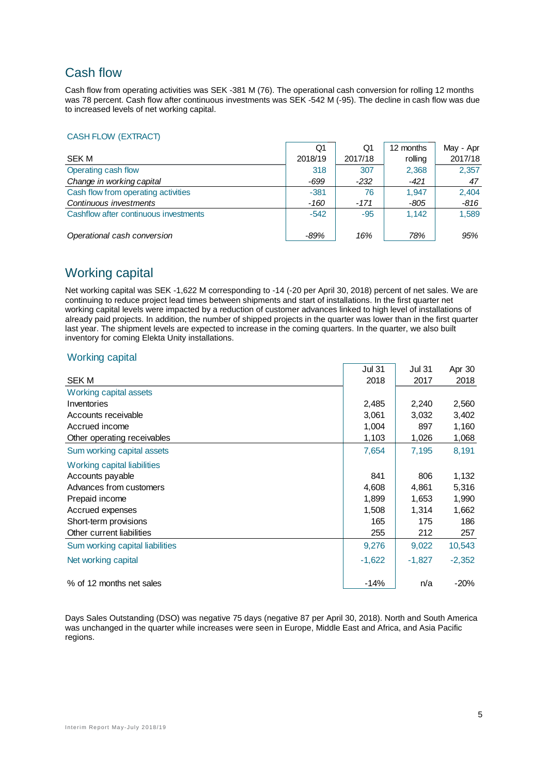### Cash flow

Cash flow from operating activities was SEK -381 M (76). The operational cash conversion for rolling 12 months was 78 percent. Cash flow after continuous investments was SEK -542 M (-95). The decline in cash flow was due to increased levels of net working capital.

#### CASH FLOW (EXTRACT)

|                                       | Q1      | Q1      | 12 months | May - Apr |
|---------------------------------------|---------|---------|-----------|-----------|
| <b>SEK M</b>                          | 2018/19 | 2017/18 | rolling   | 2017/18   |
| Operating cash flow                   | 318     | 307     | 2,368     | 2,357     |
| Change in working capital             | $-699$  | $-232$  | $-421$    | 47        |
| Cash flow from operating activities   | $-381$  | 76      | 1.947     | 2,404     |
| Continuous investments                | -160    | $-171$  | $-805$    | $-816$    |
| Cashflow after continuous investments | $-542$  | $-95$   | 1.142     | 1,589     |
| Operational cash conversion           | -89%    | 16%     | 78%       | 95%       |

### Working capital

Net working capital was SEK -1,622 M corresponding to -14 (-20 per April 30, 2018) percent of net sales. We are continuing to reduce project lead times between shipments and start of installations. In the first quarter net working capital levels were impacted by a reduction of customer advances linked to high level of installations of already paid projects. In addition, the number of shipped projects in the quarter was lower than in the first quarter last year. The shipment levels are expected to increase in the coming quarters. In the quarter, we also built inventory for coming Elekta Unity installations.

#### Working capital

|                                 | <b>Jul 31</b> | Jul 31   | Apr 30   |
|---------------------------------|---------------|----------|----------|
| <b>SEK M</b>                    | 2018          | 2017     | 2018     |
| Working capital assets          |               |          |          |
| Inventories                     | 2,485         | 2,240    | 2,560    |
| Accounts receivable             | 3,061         | 3,032    | 3,402    |
| Accrued income                  | 1,004         | 897      | 1,160    |
| Other operating receivables     | 1,103         | 1,026    | 1,068    |
| Sum working capital assets      | 7,654         | 7,195    | 8,191    |
| Working capital liabilities     |               |          |          |
| Accounts payable                | 841           | 806      | 1,132    |
| Advances from customers         | 4,608         | 4,861    | 5,316    |
| Prepaid income                  | 1,899         | 1,653    | 1,990    |
| Accrued expenses                | 1,508         | 1,314    | 1,662    |
| Short-term provisions           | 165           | 175      | 186      |
| Other current liabilities       | 255           | 212      | 257      |
| Sum working capital liabilities | 9,276         | 9,022    | 10,543   |
| Net working capital             | $-1,622$      | $-1,827$ | $-2,352$ |
| % of 12 months net sales        | $-14%$        | n/a      | $-20%$   |

Days Sales Outstanding (DSO) was negative 75 days (negative 87 per April 30, 2018). North and South America was unchanged in the quarter while increases were seen in Europe, Middle East and Africa, and Asia Pacific regions.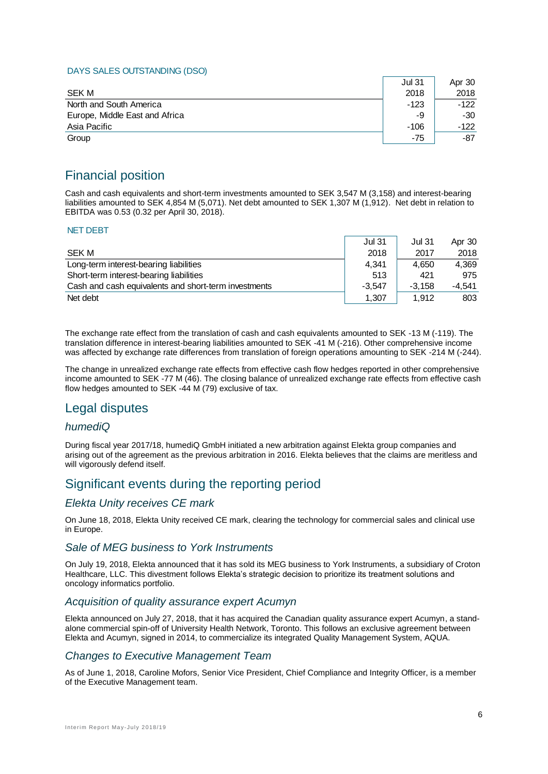#### DAYS SALES OUTSTANDING (DSO)

|                                | <b>Jul 31</b> | Apr 30 |
|--------------------------------|---------------|--------|
| <b>SEK M</b>                   | 2018          | 2018   |
| North and South America        | -123          | $-122$ |
| Europe, Middle East and Africa | -9            | -30    |
| Asia Pacific                   | -106          | -122   |
| Group                          | -75           | -87    |

### Financial position

Cash and cash equivalents and short-term investments amounted to SEK 3,547 M (3,158) and interest-bearing liabilities amounted to SEK 4,854 M (5,071). Net debt amounted to SEK 1,307 M (1,912). Net debt in relation to EBITDA was 0.53 (0.32 per April 30, 2018).

#### NET DEBT

|                                                      | <b>Jul 31</b> | <b>Jul 31</b> | Apr 30   |
|------------------------------------------------------|---------------|---------------|----------|
| <b>SEK M</b>                                         | 2018          | 2017          | 2018     |
| Long-term interest-bearing liabilities               | 4.341         | 4.650         | 4.369    |
| Short-term interest-bearing liabilities              | 513           | 421           | 975      |
| Cash and cash equivalents and short-term investments | $-3.547$      | $-3.158$      | $-4.541$ |
| Net debt                                             | 1.307         | 1.912         | 803      |

The exchange rate effect from the translation of cash and cash equivalents amounted to SEK -13 M (-119). The translation difference in interest-bearing liabilities amounted to SEK -41 M (-216). Other comprehensive income was affected by exchange rate differences from translation of foreign operations amounting to SEK -214 M (-244).

The change in unrealized exchange rate effects from effective cash flow hedges reported in other comprehensive income amounted to SEK -77 M (46). The closing balance of unrealized exchange rate effects from effective cash flow hedges amounted to SEK -44 M (79) exclusive of tax.

### Legal disputes

### *humediQ*

During fiscal year 2017/18, humediQ GmbH initiated a new arbitration against Elekta group companies and arising out of the agreement as the previous arbitration in 2016. Elekta believes that the claims are meritless and will vigorously defend itself.

### Significant events during the reporting period

### *Elekta Unity receives CE mark*

On June 18, 2018, Elekta Unity received CE mark, clearing the technology for commercial sales and clinical use in Europe.

### *Sale of MEG business to York Instruments*

On July 19, 2018, Elekta announced that it has sold its MEG business to York Instruments, a subsidiary of Croton Healthcare, LLC. This divestment follows Elekta's strategic decision to prioritize its treatment solutions and oncology informatics portfolio.

#### *Acquisition of quality assurance expert Acumyn*

Elekta announced on July 27, 2018, that it has acquired the Canadian quality assurance expert Acumyn, a standalone commercial spin-off of University Health Network, Toronto. This follows an exclusive agreement between Elekta and Acumyn, signed in 2014, to commercialize its integrated Quality Management System, AQUA.

### *Changes to Executive Management Team*

As of June 1, 2018, Caroline Mofors, Senior Vice President, Chief Compliance and Integrity Officer, is a member of the Executive Management team.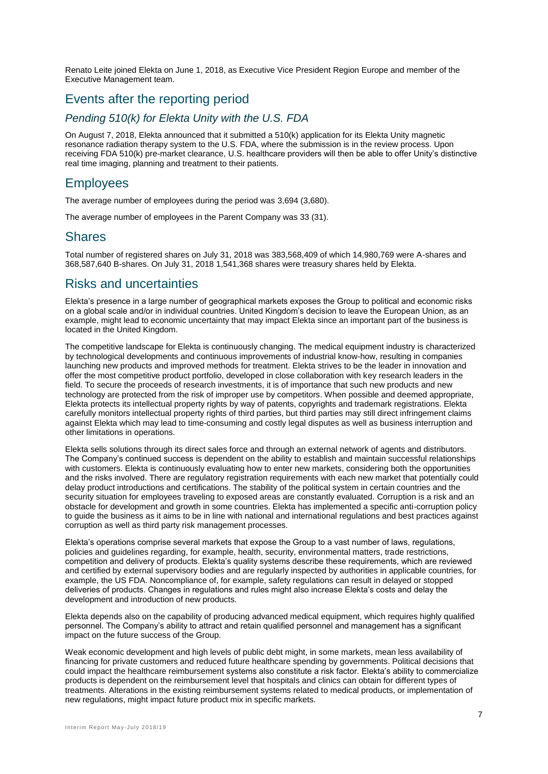Renato Leite joined Elekta on June 1, 2018, as Executive Vice President Region Europe and member of the Executive Management team.

### Events after the reporting period

### *Pending 510(k) for Elekta Unity with the U.S. FDA*

On August 7, 2018, Elekta announced that it submitted a 510(k) application for its Elekta Unity magnetic resonance radiation therapy system to the U.S. FDA, where the submission is in the review process. Upon receiving FDA 510(k) pre-market clearance, U.S. healthcare providers will then be able to offer Unity's distinctive real time imaging, planning and treatment to their patients.

### **Employees**

The average number of employees during the period was 3,694 (3,680).

The average number of employees in the Parent Company was 33 (31).

### **Shares**

Total number of registered shares on July 31, 2018 was 383,568,409 of which 14,980,769 were A-shares and 368,587,640 B-shares. On July 31, 2018 1,541,368 shares were treasury shares held by Elekta.

### Risks and uncertainties

Elekta's presence in a large number of geographical markets exposes the Group to political and economic risks on a global scale and/or in individual countries. United Kingdom's decision to leave the European Union, as an example, might lead to economic uncertainty that may impact Elekta since an important part of the business is located in the United Kingdom.

The competitive landscape for Elekta is continuously changing. The medical equipment industry is characterized by technological developments and continuous improvements of industrial know-how, resulting in companies launching new products and improved methods for treatment. Elekta strives to be the leader in innovation and offer the most competitive product portfolio, developed in close collaboration with key research leaders in the field. To secure the proceeds of research investments, it is of importance that such new products and new technology are protected from the risk of improper use by competitors. When possible and deemed appropriate, Elekta protects its intellectual property rights by way of patents, copyrights and trademark registrations. Elekta carefully monitors intellectual property rights of third parties, but third parties may still direct infringement claims against Elekta which may lead to time-consuming and costly legal disputes as well as business interruption and other limitations in operations.

Elekta sells solutions through its direct sales force and through an external network of agents and distributors. The Company's continued success is dependent on the ability to establish and maintain successful relationships with customers. Elekta is continuously evaluating how to enter new markets, considering both the opportunities and the risks involved. There are regulatory registration requirements with each new market that potentially could delay product introductions and certifications. The stability of the political system in certain countries and the security situation for employees traveling to exposed areas are constantly evaluated. Corruption is a risk and an obstacle for development and growth in some countries. Elekta has implemented a specific anti-corruption policy to guide the business as it aims to be in line with national and international regulations and best practices against corruption as well as third party risk management processes.

Elekta's operations comprise several markets that expose the Group to a vast number of laws, regulations, policies and guidelines regarding, for example, health, security, environmental matters, trade restrictions, competition and delivery of products. Elekta's quality systems describe these requirements, which are reviewed and certified by external supervisory bodies and are regularly inspected by authorities in applicable countries, for example, the US FDA. Noncompliance of, for example, safety regulations can result in delayed or stopped deliveries of products. Changes in regulations and rules might also increase Elekta's costs and delay the development and introduction of new products.

Elekta depends also on the capability of producing advanced medical equipment, which requires highly qualified personnel. The Company's ability to attract and retain qualified personnel and management has a significant impact on the future success of the Group.

Weak economic development and high levels of public debt might, in some markets, mean less availability of financing for private customers and reduced future healthcare spending by governments. Political decisions that could impact the healthcare reimbursement systems also constitute a risk factor. Elekta's ability to commercialize products is dependent on the reimbursement level that hospitals and clinics can obtain for different types of treatments. Alterations in the existing reimbursement systems related to medical products, or implementation of new regulations, might impact future product mix in specific markets.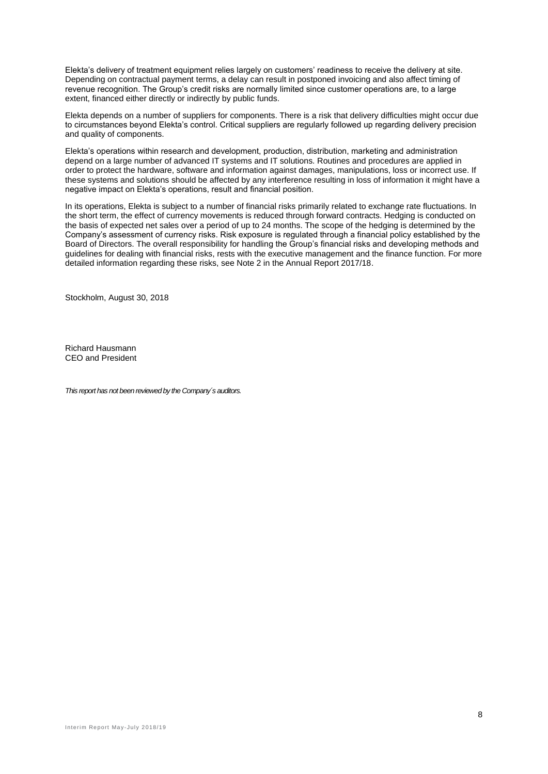Elekta's delivery of treatment equipment relies largely on customers' readiness to receive the delivery at site. Depending on contractual payment terms, a delay can result in postponed invoicing and also affect timing of revenue recognition. The Group's credit risks are normally limited since customer operations are, to a large extent, financed either directly or indirectly by public funds.

Elekta depends on a number of suppliers for components. There is a risk that delivery difficulties might occur due to circumstances beyond Elekta's control. Critical suppliers are regularly followed up regarding delivery precision and quality of components.

Elekta's operations within research and development, production, distribution, marketing and administration depend on a large number of advanced IT systems and IT solutions. Routines and procedures are applied in order to protect the hardware, software and information against damages, manipulations, loss or incorrect use. If these systems and solutions should be affected by any interference resulting in loss of information it might have a negative impact on Elekta's operations, result and financial position.

In its operations, Elekta is subject to a number of financial risks primarily related to exchange rate fluctuations. In the short term, the effect of currency movements is reduced through forward contracts. Hedging is conducted on the basis of expected net sales over a period of up to 24 months. The scope of the hedging is determined by the Company's assessment of currency risks. Risk exposure is regulated through a financial policy established by the Board of Directors. The overall responsibility for handling the Group's financial risks and developing methods and guidelines for dealing with financial risks, rests with the executive management and the finance function. For more detailed information regarding these risks, see Note 2 in the Annual Report 2017/18.

Stockholm, August 30, 2018

Richard Hausmann CEO and President

*This report has not been reviewed by the Company´s auditors.*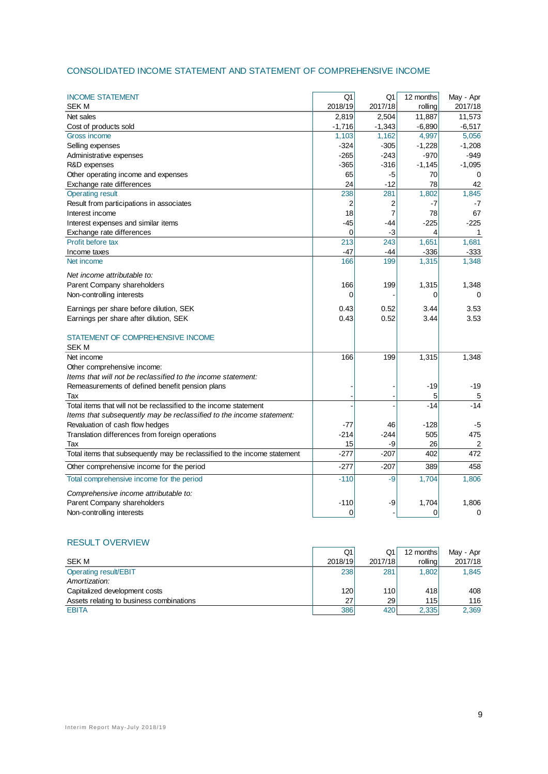### CONSOLIDATED INCOME STATEMENT AND STATEMENT OF COMPREHENSIVE INCOME

| <b>INCOME STATEMENT</b>                                                   | Q1          | Q1             | 12 months | May - Apr |
|---------------------------------------------------------------------------|-------------|----------------|-----------|-----------|
| <b>SEK M</b>                                                              | 2018/19     | 2017/18        | rolling   | 2017/18   |
| Net sales                                                                 | 2,819       | 2,504          | 11,887    | 11,573    |
| Cost of products sold                                                     | $-1,716$    | $-1,343$       | $-6,890$  | $-6,517$  |
| Gross income                                                              | 1,103       | 1,162          | 4,997     | 5,056     |
| Selling expenses                                                          | $-324$      | $-305$         | $-1,228$  | $-1,208$  |
| Administrative expenses                                                   | $-265$      | $-243$         | $-970$    | $-949$    |
| R&D expenses                                                              | $-365$      | $-316$         | $-1,145$  | $-1,095$  |
| Other operating income and expenses                                       | 65          | -5             | 70        | 0         |
| Exchange rate differences                                                 | 24          | -12            | 78        | 42        |
| <b>Operating result</b>                                                   | 238         | 281            | 1,802     | 1,845     |
| Result from participations in associates                                  | 2           | 2              | -7        | $-7$      |
| Interest income                                                           | 18          | $\overline{7}$ | 78        | 67        |
| Interest expenses and similar items                                       | $-45$       | -44            | $-225$    | $-225$    |
| Exchange rate differences                                                 | $\mathbf 0$ | $-3$           | 4         | 1         |
| Profit before tax                                                         | 213         | 243            | 1,651     | 1,681     |
| Income taxes                                                              | -47         | -44            | $-336$    | $-333$    |
| Net income                                                                | 166         | 199            | 1,315     | 1,348     |
| Net income attributable to:                                               |             |                |           |           |
| Parent Company shareholders                                               | 166         | 199            | 1,315     | 1,348     |
| Non-controlling interests                                                 | $\mathbf 0$ |                | 0         | 0         |
|                                                                           |             |                |           |           |
| Earnings per share before dilution, SEK                                   | 0.43        | 0.52           | 3.44      | 3.53      |
| Earnings per share after dilution, SEK                                    | 0.43        | 0.52           | 3.44      | 3.53      |
| STATEMENT OF COMPREHENSIVE INCOME                                         |             |                |           |           |
|                                                                           |             |                |           |           |
| SEK M                                                                     |             |                |           |           |
| Net income                                                                | 166         | 199            | 1,315     | 1,348     |
| Other comprehensive income:                                               |             |                |           |           |
| Items that will not be reclassified to the income statement:              |             |                |           |           |
| Remeasurements of defined benefit pension plans                           |             |                | $-19$     | $-19$     |
| Tax                                                                       |             |                | 5         | 5         |
| Total items that will not be reclassified to the income statement         |             |                | $-14$     | $-14$     |
| Items that subsequently may be reclassified to the income statement:      |             |                |           |           |
| Revaluation of cash flow hedges                                           | -77         | 46             | $-128$    | -5        |
| Translation differences from foreign operations                           | $-214$      | $-244$         | 505       | 475       |
| Tax                                                                       | 15          | -9             | 26        | 2         |
| Total items that subsequently may be reclassified to the income statement | $-277$      | $-207$         | 402       | 472       |
| Other comprehensive income for the period                                 | $-277$      | $-207$         | 389       | 458       |
| Total comprehensive income for the period                                 | $-110$      | $-9$           | 1,704     | 1,806     |
| Comprehensive income attributable to:                                     |             |                |           |           |
| Parent Company shareholders                                               | $-110$      | -9             | 1,704     | 1,806     |
| Non-controlling interests                                                 | 0           |                | 0         | 0         |

#### RESULT OVERVIEW

|                                          | Q1      | Q1         | 12 months | May - Apr |
|------------------------------------------|---------|------------|-----------|-----------|
| SEK M                                    | 2018/19 | 2017/18    | rolling   | 2017/18   |
| Operating result/EBIT                    | 238     | 281        | 1.802     | 1.845     |
| Amortization:                            |         |            |           |           |
| Capitalized development costs            | 120     | <b>110</b> | 418       | 408       |
| Assets relating to business combinations | 27      | <b>29</b>  | 115       | 116       |
| <b>EBITA</b>                             | 386     | 420        | 2,335     | 2,369     |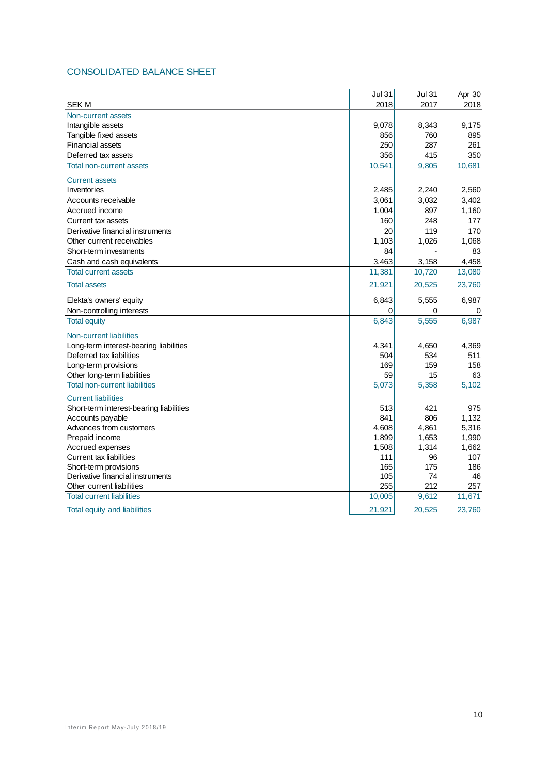### CONSOLIDATED BALANCE SHEET

|                                                         | <b>Jul 31</b> | <b>Jul 31</b> | Apr 30     |
|---------------------------------------------------------|---------------|---------------|------------|
| <b>SEK M</b>                                            | 2018          | 2017          | 2018       |
| Non-current assets                                      |               |               |            |
| Intangible assets                                       | 9,078         | 8,343         | 9,175      |
| Tangible fixed assets                                   | 856           | 760           | 895        |
| <b>Financial assets</b>                                 | 250           | 287           | 261        |
| Deferred tax assets                                     | 356           | 415           | 350        |
| Total non-current assets                                | 10,541        | 9,805         | 10,681     |
| <b>Current assets</b>                                   |               |               |            |
| Inventories                                             | 2,485         | 2,240         | 2,560      |
| Accounts receivable                                     | 3,061         | 3,032         | 3,402      |
| Accrued income                                          | 1,004         | 897           | 1,160      |
| Current tax assets                                      | 160           | 248           | 177        |
| Derivative financial instruments                        | 20            | 119           | 170        |
| Other current receivables                               | 1,103         | 1,026         | 1,068      |
| Short-term investments                                  | 84            |               | 83         |
| Cash and cash equivalents                               | 3,463         | 3,158         | 4,458      |
| <b>Total current assets</b>                             | 11,381        | 10,720        | 13,080     |
| <b>Total assets</b>                                     | 21,921        | 20,525        | 23,760     |
| Elekta's owners' equity                                 | 6,843         | 5,555         | 6,987      |
| Non-controlling interests                               | 0             | 0             | 0          |
| <b>Total equity</b>                                     | 6,843         | 5,555         | 6,987      |
| Non-current liabilities                                 |               |               |            |
| Long-term interest-bearing liabilities                  | 4,341         | 4,650         | 4,369      |
| Deferred tax liabilities                                | 504           | 534           | 511        |
| Long-term provisions                                    | 169           | 159           | 158        |
| Other long-term liabilities                             | 59            | 15            | 63         |
| <b>Total non-current liabilities</b>                    | 5,073         | 5,358         | 5,102      |
| <b>Current liabilities</b>                              |               |               |            |
| Short-term interest-bearing liabilities                 | 513           | 421           | 975        |
| Accounts payable                                        | 841           | 806           | 1,132      |
| Advances from customers                                 | 4,608         | 4,861         | 5,316      |
| Prepaid income                                          | 1,899         | 1,653         | 1,990      |
| Accrued expenses                                        | 1,508         | 1,314         | 1,662      |
| <b>Current tax liabilities</b><br>Short-term provisions | 111<br>165    | 96<br>175     | 107<br>186 |
| Derivative financial instruments                        | 105           | 74            | 46         |
| Other current liabilities                               | 255           | 212           | 257        |
| <b>Total current liabilities</b>                        | 10,005        | 9,612         | 11,671     |
|                                                         | 21,921        | 20.525        | 23.760     |
| Total equity and liabilities                            |               |               |            |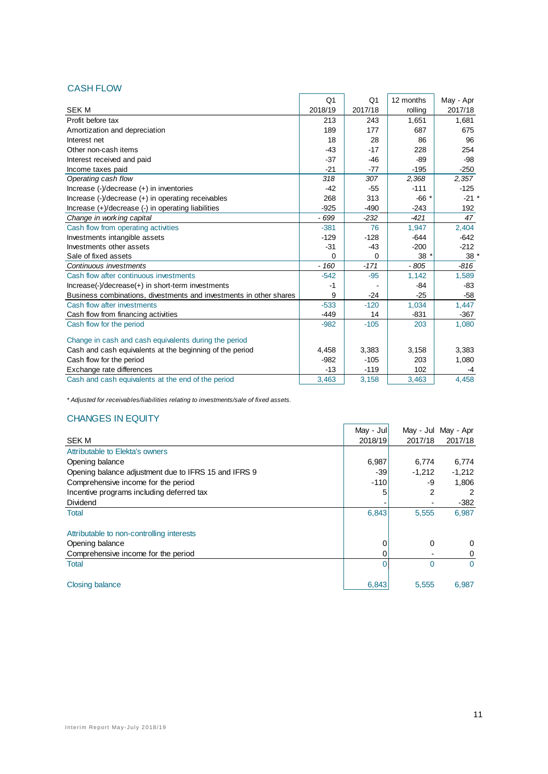### CASH FLOW

| UAJI I LUM                                                                                       |                |                |           |                 |
|--------------------------------------------------------------------------------------------------|----------------|----------------|-----------|-----------------|
|                                                                                                  | Q <sub>1</sub> | Q <sub>1</sub> | 12 months | May - Apr       |
| <b>SEK M</b>                                                                                     | 2018/19        | 2017/18        | rolling   | 2017/18         |
| Profit before tax                                                                                | 213            | 243            | 1,651     | 1,681           |
| Amortization and depreciation                                                                    | 189            | 177            | 687       | 675             |
| Interest net                                                                                     | 18             | 28             | 86        | 96              |
| Other non-cash items                                                                             | $-43$          | $-17$          | 228       | 254             |
| Interest received and paid                                                                       | $-37$          | $-46$          | $-89$     | $-98$           |
| Income taxes paid                                                                                | $-21$          | $-77$          | $-195$    | $-250$          |
| Operating cash flow                                                                              | 318            | 307            | 2,368     | 2,357           |
| Increase $(-)/$ decrease $(+)$ in inventories                                                    | $-42$          | $-55$          | $-111$    | $-125$          |
| Increase $\left(\frac{1}{2}\right)$ decrease $\left(\frac{1}{2}\right)$ in operating receivables | 268            | 313            | $-66*$    | $-21$ *         |
| Increase (+)/decrease (-) in operating liabilities                                               | $-925$         | $-490$         | $-243$    | 192             |
| Change in working capital                                                                        | - 699          | $-232$         | $-421$    | 47              |
| Cash flow from operating activities                                                              | $-381$         | 76             | 1,947     | 2,404           |
| Investments intangible assets                                                                    | $-129$         | $-128$         | $-644$    | $-642$          |
| Investments other assets                                                                         | $-31$          | -43            | $-200$    | $-212$          |
| Sale of fixed assets                                                                             | 0              | 0              | $38*$     | 38 <sup>°</sup> |
| Continuous investments                                                                           | $-160$         | $-171$         | $-805$    | $-816$          |
| Cash flow after continuous investments                                                           | $-542$         | $-95$          | 1,142     | 1,589           |
| $Increase(-)/decrease(+)$ in short-term investments                                              | $-1$           |                | -84       | $-83$           |
| Business combinations, divestments and investments in other shares                               | 9              | $-24$          | $-25$     | $-58$           |
| Cash flow after investments                                                                      | $-533$         | $-120$         | 1,034     | 1,447           |
| Cash flow from financing activities                                                              | $-449$         | 14             | $-831$    | $-367$          |
| Cash flow for the period                                                                         | $-982$         | $-105$         | 203       | 1,080           |
| Change in cash and cash equivalents during the period                                            |                |                |           |                 |
| Cash and cash equivalents at the beginning of the period                                         | 4,458          | 3,383          | 3,158     | 3,383           |
| Cash flow for the period                                                                         | $-982$         | $-105$         | 203       | 1,080           |
| Exchange rate differences                                                                        | $-13$          | $-119$         | 102       | -4              |
| Cash and cash equivalents at the end of the period                                               | 3,463          | 3,158          | 3,463     | 4.458           |

*\* Adjusted for receivables/liabilities relating to investments/sale of fixed assets.*

### CHANGES IN EQUITY

|                                                      | May - Jul |          | May - Jul May - Apr |
|------------------------------------------------------|-----------|----------|---------------------|
| <b>SEK M</b>                                         | 2018/19   | 2017/18  | 2017/18             |
| Attributable to Elekta's owners                      |           |          |                     |
| Opening balance                                      | 6,987     | 6,774    | 6,774               |
| Opening balance adjustment due to IFRS 15 and IFRS 9 | $-39$     | $-1,212$ | $-1,212$            |
| Comprehensive income for the period                  | $-110$    | -9       | 1.806               |
| Incentive programs including deferred tax            | 5         | 2        | 2                   |
| <b>Dividend</b>                                      |           |          | -382                |
| <b>Total</b>                                         | 6,843     | 5,555    | 6,987               |
| Attributable to non-controlling interests            |           |          |                     |
| Opening balance                                      | 0         | 0        | 0                   |
| Comprehensive income for the period                  | 0         |          | 0                   |
| <b>Total</b>                                         |           | 0        | $\Omega$            |
| <b>Closing balance</b>                               | 6,843     | 5,555    | 6,987               |

 $\blacksquare$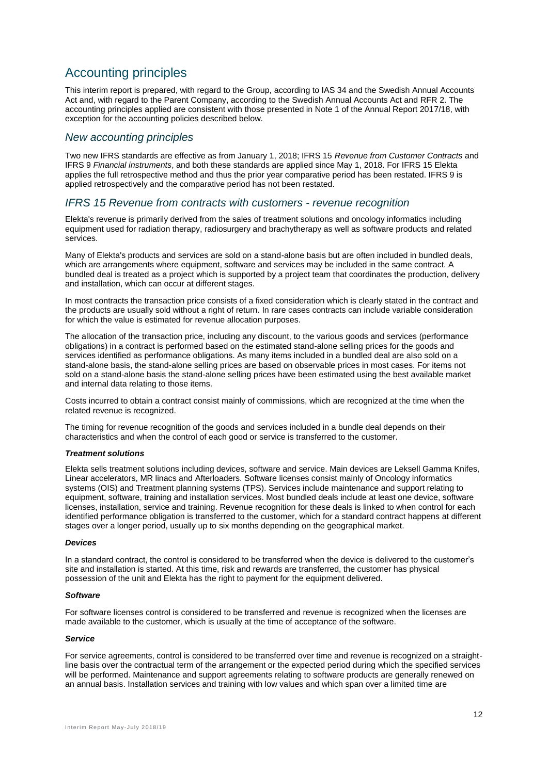### Accounting principles

This interim report is prepared, with regard to the Group, according to IAS 34 and the Swedish Annual Accounts Act and, with regard to the Parent Company, according to the Swedish Annual Accounts Act and RFR 2. The accounting principles applied are consistent with those presented in Note 1 of the Annual Report 2017/18, with exception for the accounting policies described below.

#### *New accounting principles*

Two new IFRS standards are effective as from January 1, 2018; IFRS 15 *Revenue from Customer Contracts* and IFRS 9 *Financial instruments*, and both these standards are applied since May 1, 2018. For IFRS 15 Elekta applies the full retrospective method and thus the prior year comparative period has been restated. IFRS 9 is applied retrospectively and the comparative period has not been restated.

#### *IFRS 15 Revenue from contracts with customers - revenue recognition*

Elekta's revenue is primarily derived from the sales of treatment solutions and oncology informatics including equipment used for radiation therapy, radiosurgery and brachytherapy as well as software products and related services.

Many of Elekta's products and services are sold on a stand-alone basis but are often included in bundled deals, which are arrangements where equipment, software and services may be included in the same contract. A bundled deal is treated as a project which is supported by a project team that coordinates the production, delivery and installation, which can occur at different stages.

In most contracts the transaction price consists of a fixed consideration which is clearly stated in the contract and the products are usually sold without a right of return. In rare cases contracts can include variable consideration for which the value is estimated for revenue allocation purposes.

The allocation of the transaction price, including any discount, to the various goods and services (performance obligations) in a contract is performed based on the estimated stand-alone selling prices for the goods and services identified as performance obligations. As many items included in a bundled deal are also sold on a stand-alone basis, the stand-alone selling prices are based on observable prices in most cases. For items not sold on a stand-alone basis the stand-alone selling prices have been estimated using the best available market and internal data relating to those items.

Costs incurred to obtain a contract consist mainly of commissions, which are recognized at the time when the related revenue is recognized.

The timing for revenue recognition of the goods and services included in a bundle deal depends on their characteristics and when the control of each good or service is transferred to the customer.

#### *Treatment solutions*

Elekta sells treatment solutions including devices, software and service. Main devices are Leksell Gamma Knifes, Linear accelerators, MR linacs and Afterloaders. Software licenses consist mainly of Oncology informatics systems (OIS) and Treatment planning systems (TPS). Services include maintenance and support relating to equipment, software, training and installation services. Most bundled deals include at least one device, software licenses, installation, service and training. Revenue recognition for these deals is linked to when control for each identified performance obligation is transferred to the customer, which for a standard contract happens at different stages over a longer period, usually up to six months depending on the geographical market.

#### *Devices*

In a standard contract, the control is considered to be transferred when the device is delivered to the customer's site and installation is started. At this time, risk and rewards are transferred, the customer has physical possession of the unit and Elekta has the right to payment for the equipment delivered.

#### *Software*

For software licenses control is considered to be transferred and revenue is recognized when the licenses are made available to the customer, which is usually at the time of acceptance of the software.

#### *Service*

For service agreements, control is considered to be transferred over time and revenue is recognized on a straightline basis over the contractual term of the arrangement or the expected period during which the specified services will be performed. Maintenance and support agreements relating to software products are generally renewed on an annual basis. Installation services and training with low values and which span over a limited time are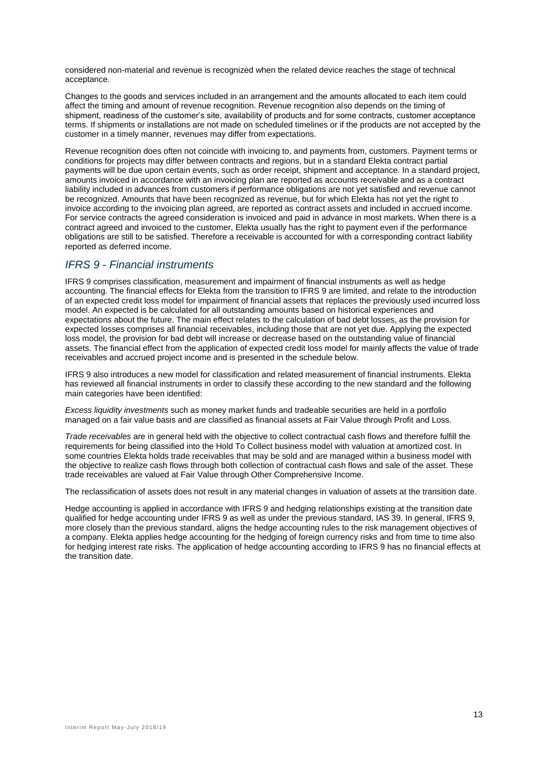considered non-material and revenue is recognized when the related device reaches the stage of technical acceptance.

Changes to the goods and services included in an arrangement and the amounts allocated to each item could affect the timing and amount of revenue recognition. Revenue recognition also depends on the timing of shipment, readiness of the customer's site, availability of products and for some contracts, customer acceptance terms. If shipments or installations are not made on scheduled timelines or if the products are not accepted by the customer in a timely manner, revenues may differ from expectations.

Revenue recognition does often not coincide with invoicing to, and payments from, customers. Payment terms or conditions for projects may differ between contracts and regions, but in a standard Elekta contract partial payments will be due upon certain events, such as order receipt, shipment and acceptance. In a standard project, amounts invoiced in accordance with an invoicing plan are reported as accounts receivable and as a contract liability included in advances from customers if performance obligations are not yet satisfied and revenue cannot be recognized. Amounts that have been recognized as revenue, but for which Elekta has not yet the right to invoice according to the invoicing plan agreed, are reported as contract assets and included in accrued income. For service contracts the agreed consideration is invoiced and paid in advance in most markets. When there is a contract agreed and invoiced to the customer, Elekta usually has the right to payment even if the performance obligations are still to be satisfied. Therefore a receivable is accounted for with a corresponding contract liability reported as deferred income.

### *IFRS 9 - Financial instruments*

IFRS 9 comprises classification, measurement and impairment of financial instruments as well as hedge accounting. The financial effects for Elekta from the transition to IFRS 9 are limited, and relate to the introduction of an expected credit loss model for impairment of financial assets that replaces the previously used incurred loss model. An expected is be calculated for all outstanding amounts based on historical experiences and expectations about the future. The main effect relates to the calculation of bad debt losses, as the provision for expected losses comprises all financial receivables, including those that are not yet due. Applying the expected loss model, the provision for bad debt will increase or decrease based on the outstanding value of financial assets. The financial effect from the application of expected credit loss model for mainly affects the value of trade receivables and accrued project income and is presented in the schedule below.

IFRS 9 also introduces a new model for classification and related measurement of financial instruments. Elekta has reviewed all financial instruments in order to classify these according to the new standard and the following main categories have been identified:

*Excess liquidity investments* such as money market funds and tradeable securities are held in a portfolio managed on a fair value basis and are classified as financial assets at Fair Value through Profit and Loss.

*Trade receivables* are in general held with the objective to collect contractual cash flows and therefore fulfill the requirements for being classified into the Hold To Collect business model with valuation at amortized cost. In some countries Elekta holds trade receivables that may be sold and are managed within a business model with the objective to realize cash flows through both collection of contractual cash flows and sale of the asset. These trade receivables are valued at Fair Value through Other Comprehensive Income.

The reclassification of assets does not result in any material changes in valuation of assets at the transition date.

Hedge accounting is applied in accordance with IFRS 9 and hedging relationships existing at the transition date qualified for hedge accounting under IFRS 9 as well as under the previous standard, IAS 39. In general, IFRS 9, more closely than the previous standard, aligns the hedge accounting rules to the risk management objectives of a company. Elekta applies hedge accounting for the hedging of foreign currency risks and from time to time also for hedging interest rate risks. The application of hedge accounting according to IFRS 9 has no financial effects at the transition date.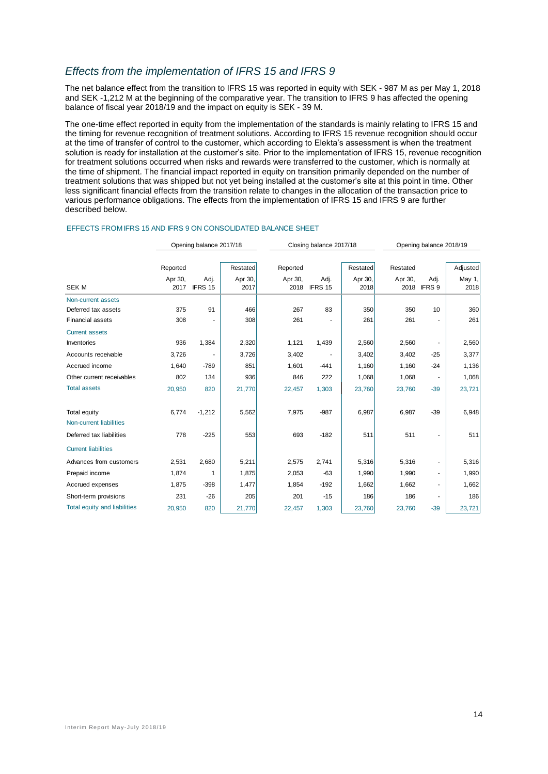### *Effects from the implementation of IFRS 15 and IFRS 9*

The net balance effect from the transition to IFRS 15 was reported in equity with SEK - 987 M as per May 1, 2018 and SEK -1,212 M at the beginning of the comparative year. The transition to IFRS 9 has affected the opening balance of fiscal year 2018/19 and the impact on equity is SEK - 39 M.

The one-time effect reported in equity from the implementation of the standards is mainly relating to IFRS 15 and the timing for revenue recognition of treatment solutions. According to IFRS 15 revenue recognition should occur at the time of transfer of control to the customer, which according to Elekta's assessment is when the treatment solution is ready for installation at the customer's site. Prior to the implementation of IFRS 15, revenue recognition for treatment solutions occurred when risks and rewards were transferred to the customer, which is normally at the time of shipment. The financial impact reported in equity on transition primarily depended on the number of treatment solutions that was shipped but not yet being installed at the customer's site at this point in time. Other less significant financial effects from the transition relate to changes in the allocation of the transaction price to various performance obligations. The effects from the implementation of IFRS 15 and IFRS 9 are further described below.

|                                     | Opening balance 2017/18 |                 |                 | Closing balance 2017/18 |                 |                 |                 | Opening balance 2018/19 |                |
|-------------------------------------|-------------------------|-----------------|-----------------|-------------------------|-----------------|-----------------|-----------------|-------------------------|----------------|
|                                     | Reported                |                 | Restated        | Reported                |                 | Restated        | Restated        |                         | Adjusted       |
| <b>SEKM</b>                         | Apr 30,<br>2017         | Adj.<br>IFRS 15 | Apr 30,<br>2017 | Apr 30,<br>2018         | Adj.<br>IFRS 15 | Apr 30,<br>2018 | Apr 30,<br>2018 | Adj.<br>IFRS 9          | May 1,<br>2018 |
| Non-current assets                  |                         |                 |                 |                         |                 |                 |                 |                         |                |
| Deferred tax assets                 | 375                     | 91              | 466             | 267                     | 83              | 350             | 350             | 10                      | 360            |
| <b>Financial assets</b>             | 308                     |                 | 308             | 261                     |                 | 261             | 261             |                         | 261            |
| <b>Current assets</b>               |                         |                 |                 |                         |                 |                 |                 |                         |                |
| Inventories                         | 936                     | 1,384           | 2,320           | 1,121                   | 1,439           | 2,560           | 2,560           |                         | 2,560          |
| Accounts receivable                 | 3,726                   |                 | 3,726           | 3,402                   |                 | 3,402           | 3,402           | $-25$                   | 3,377          |
| Accrued income                      | 1,640                   | $-789$          | 851             | 1,601                   | $-441$          | 1,160           | 1,160           | $-24$                   | 1,136          |
| Other current receivables           | 802                     | 134             | 936             | 846                     | 222             | 1,068           | 1,068           |                         | 1,068          |
| <b>Total assets</b>                 | 20,950                  | 820             | 21,770          | 22,457                  | 1,303           | 23,760          | 23,760          | $-39$                   | 23,721         |
| Total equity                        | 6,774                   | $-1,212$        | 5,562           | 7,975                   | $-987$          | 6,987           | 6,987           | $-39$                   | 6,948          |
| Non-current liabilities             |                         |                 |                 |                         |                 |                 |                 |                         |                |
| Deferred tax liabilities            | 778                     | $-225$          | 553             | 693                     | $-182$          | 511             | 511             |                         | 511            |
| <b>Current liabilities</b>          |                         |                 |                 |                         |                 |                 |                 |                         |                |
| Advances from customers             | 2,531                   | 2,680           | 5,211           | 2,575                   | 2,741           | 5,316           | 5,316           |                         | 5,316          |
| Prepaid income                      | 1,874                   | 1               | 1,875           | 2,053                   | $-63$           | 1,990           | 1,990           |                         | 1,990          |
| Accrued expenses                    | 1,875                   | $-398$          | 1,477           | 1,854                   | $-192$          | 1,662           | 1,662           | ٠                       | 1,662          |
| Short-term provisions               | 231                     | $-26$           | 205             | 201                     | $-15$           | 186             | 186             |                         | 186            |
| <b>Total equity and liabilities</b> | 20.950                  | 820             | 21,770          | 22,457                  | 1,303           | 23,760          | 23,760          | $-39$                   | 23,721         |

#### EFFECTS FROM IFRS 15 AND IFRS 9 ON CONSOLIDATED BALANCE SHEET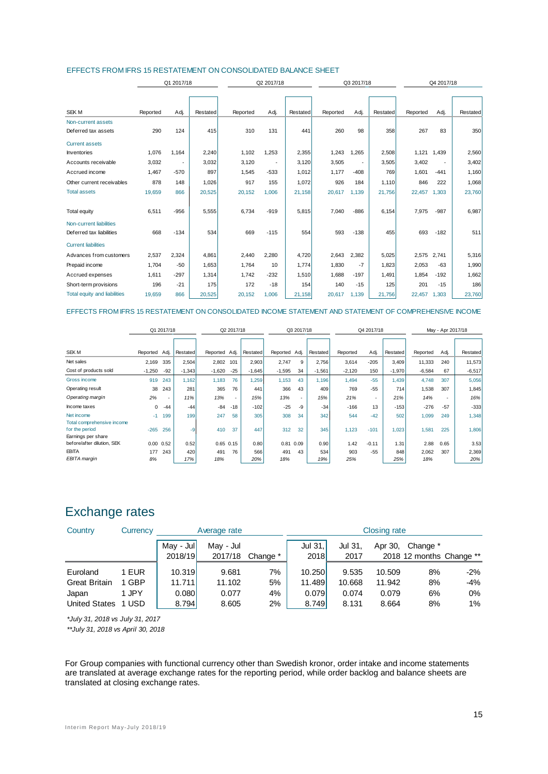| EFFECTS FROM IFRS 15 RESTATEMENT ON CONSOLIDATED BALANCE SHEET |  |
|----------------------------------------------------------------|--|
|----------------------------------------------------------------|--|

|                                     |          | Q1 2017/18 |          |          | Q2 2017/18               |          | Q3 2017/18 |                          |          | Q4 2017/18  |             |          |
|-------------------------------------|----------|------------|----------|----------|--------------------------|----------|------------|--------------------------|----------|-------------|-------------|----------|
|                                     |          |            |          |          |                          |          |            |                          |          |             |             |          |
|                                     |          |            |          |          |                          |          |            |                          |          |             |             |          |
| <b>SEK M</b>                        | Reported | Adj.       | Restated | Reported | Adj.                     | Restated | Reported   | Adj.                     | Restated | Reported    | Adj.        | Restated |
| Non-current assets                  |          |            |          |          |                          |          |            |                          |          |             |             |          |
| Deferred tax assets                 | 290      | 124        | 415      | 310      | 131                      | 441      | 260        | 98                       | 358      | 267         | 83          | 350      |
| <b>Current assets</b>               |          |            |          |          |                          |          |            |                          |          |             |             |          |
| <b>Inventories</b>                  | 1,076    | 1.164      | 2,240    | 1,102    | 1.253                    | 2,355    | 1,243      | 1,265                    | 2,508    |             | 1,121 1,439 | 2,560    |
| Accounts receivable                 | 3,032    |            | 3,032    | 3,120    | $\overline{\phantom{a}}$ | 3,120    | 3,505      | $\overline{\phantom{a}}$ | 3,505    | 3,402       |             | 3,402    |
| Accrued income                      | 1,467    | $-570$     | 897      | 1,545    | $-533$                   | 1,012    | 1,177      | $-408$                   | 769      | 1,601       | $-441$      | 1,160    |
| Other current receivables           | 878      | 148        | 1,026    | 917      | 155                      | 1,072    | 926        | 184                      | 1,110    | 846         | 222         | 1,068    |
| <b>Total assets</b>                 | 19,659   | 866        | 20,525   | 20,152   | 1,006                    | 21,158   | 20,617     | 1,139                    | 21,756   | 22,457      | 1,303       | 23,760   |
|                                     |          |            |          |          |                          |          |            |                          |          |             |             |          |
| <b>Total equity</b>                 | 6,511    | $-956$     | 5,555    | 6.734    | $-919$                   | 5,815    | 7,040      | $-886$                   | 6.154    | 7,975       | $-987$      | 6,987    |
| Non-current liabilities             |          |            |          |          |                          |          |            |                          |          |             |             |          |
| Deferred tax liabilities            | 668      | $-134$     | 534      | 669      | $-115$                   | 554      | 593        | $-138$                   | 455      | 693         | $-182$      | 511      |
| <b>Current liabilities</b>          |          |            |          |          |                          |          |            |                          |          |             |             |          |
| Advances from customers             | 2,537    | 2,324      | 4,861    | 2,440    | 2,280                    | 4,720    | 2,643      | 2,382                    | 5,025    | 2,575 2,741 |             | 5,316    |
| Prepaid income                      | 1.704    | $-50$      | 1,653    | 1.764    | 10                       | 1,774    | 1.830      | $-7$                     | 1.823    | 2,053       | $-63$       | 1,990    |
| Accrued expenses                    | 1,611    | $-297$     | 1,314    | 1,742    | $-232$                   | 1,510    | 1,688      | $-197$                   | 1,491    | 1,854       | $-192$      | 1,662    |
| Short-term provisions               | 196      | $-21$      | 175      | 172      | $-18$                    | 154      | 140        | $-15$                    | 125      | 201         | $-15$       | 186      |
| <b>Total equity and liabilities</b> | 19,659   | 866        | 20,525   | 20,152   | 1,006                    | 21,158   | 20,617     | 1,139                    | 21,756   | 22,457      | 1,303       | 23,760   |

#### EFFECTS FROM IFRS 15 RESTATEMENT ON CONSOLIDATED INCOME STATEMENT AND STATEMENT OF COMPREHENSIVE INCOME

|                                                                    |          | Q1 2017/18        |          |               | Q2 2017/18 |          | Q3 2017/18 |        | Q4 2017/18      |          |                          | May - Apr 2017/18 |          |        |          |
|--------------------------------------------------------------------|----------|-------------------|----------|---------------|------------|----------|------------|--------|-----------------|----------|--------------------------|-------------------|----------|--------|----------|
|                                                                    |          |                   |          |               |            |          |            |        |                 |          |                          |                   |          |        |          |
| SEK M                                                              | Reported | Adj.              | Restated | Reported Adj. |            | Restated | Reported   | Adj.   | <b>Restated</b> | Reported | Adj.                     | Restated          | Reported | Adj.   | Restated |
| Net sales                                                          | 2,169    | 335               | 2.504    | 2,802         | 101        | 2,903    | 2,747      | 9      | 2.756           | 3,614    | $-205$                   | 3,409             | 11,333   | 240    | 11,573   |
| Cost of products sold                                              | $-1,250$ | $-92$             | $-1,343$ | $-1,620$      | $-25$      | $-1,645$ | $-1,595$   | 34     | $-1,561$        | $-2,120$ | 150                      | $-1,970$          | $-6,584$ | 67     | $-6,517$ |
| Gross income                                                       | 919      | 243               | 1.162    | 1,183         | 76         | 1,259    | 1,153      | 43     | 1,196           | 1,494    | $-55$                    | 1,439             | 4,748    | 307    | 5,056    |
| Operating result                                                   | 38       | 243               | 281      | 365           | 76         | 441      | 366        | 43     | 409             | 769      | $-55$                    | 714               | 1,538    | 307    | 1,845    |
| Operating margin                                                   | 2%       | $\sim$            | 11%      | 13%           | ٠          | 15%      | 13%        | $\sim$ | 15%             | 21%      | $\overline{\phantom{a}}$ | 21%               | 14%      | $\sim$ | 16%      |
| Income taxes                                                       | 0        | $-44$             | $-44$    | $-84$         | $-18$      | $-102$   | $-25$      | -9     | $-34$           | $-166$   | 13                       | $-153$            | $-276$   | $-57$  | $-333$   |
| Net income                                                         | $-1$     | 199               | 199      | 247           | 58         | 305      | 308        | 34     | 342             | 544      | $-42$                    | 502               | 1,099    | 249    | 1,348    |
| Total comprehensive income<br>for the period<br>Earnings per share | $-265$   | 256               | $-9$     | 410           | 37         | 447      | 312        | 32     | 345             | 1,123    | $-101$                   | 1,023             | 1,581    | 225    | 1,806    |
| before/after dilution, SEK                                         |          | $0.00 \quad 0.52$ | 0.52     | $0.65$ $0.15$ |            | 0.80     | 0.81       | 0.09   | 0.90            | 1.42     | $-0.11$                  | 1.31              | 2.88     | 0.65   | 3.53     |
| <b>EBITA</b>                                                       | 177      | 243               | 420      | 491           | 76         | 566      | 491        | 43     | 534             | 903      | $-55$                    | 848               | 2,062    | 307    | 2,369    |
| EBITA margin                                                       | 8%       |                   | 17%      | 18%           |            | 20%      | 18%        |        | 19%             | 25%      |                          | 25%               | 18%      |        | 20%      |

### Exchange rates

| Country              | Currency   |                      | Average rate         |          |                        | Closing rate    |         |                                      |       |
|----------------------|------------|----------------------|----------------------|----------|------------------------|-----------------|---------|--------------------------------------|-------|
|                      |            | May - Jul<br>2018/19 | May - Jul<br>2017/18 | Change * | Jul 31.<br><b>2018</b> | Jul 31,<br>2017 | Apr 30, | Change *<br>2018 12 months Change ** |       |
| Euroland             | EUR        | 10.319               | 9.681                | 7%       | 10.250                 | 9.535           | 10.509  | 8%                                   | $-2%$ |
| <b>Great Britain</b> | GBP        | 11.711               | 11.102               | 5%       | 11.489                 | 10.668          | 11.942  | 8%                                   | -4%   |
| Japan                | 1 JPY      | 0.080                | 0.077                | 4%       | 0.079                  | 0.074           | 0.079   | 6%                                   | $0\%$ |
| <b>United States</b> | <b>USD</b> | 8.794                | 8.605                | 2%       | 8.749                  | 8.131           | 8.664   | 8%                                   | 1%    |

*\*July 31, 2018 vs July 31, 2017*

*\*\*July 31, 2018 vs April 30, 2018*

For Group companies with functional currency other than Swedish kronor, order intake and income statements are translated at average exchange rates for the reporting period, while order backlog and balance sheets are translated at closing exchange rates.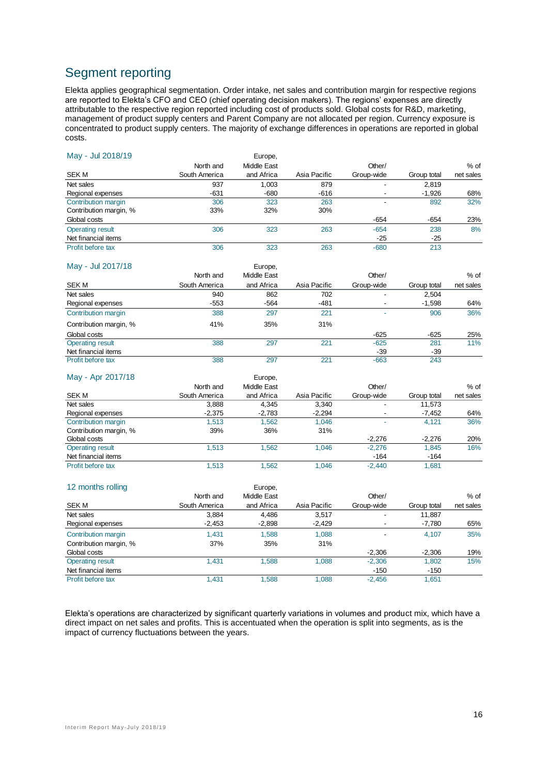### Segment reporting

Elekta applies geographical segmentation. Order intake, net sales and contribution margin for respective regions are reported to Elekta's CFO and CEO (chief operating decision makers). The regions' expenses are directly attributable to the respective region reported including cost of products sold. Global costs for R&D, marketing, management of product supply centers and Parent Company are not allocated per region. Currency exposure is concentrated to product supply centers. The majority of exchange differences in operations are reported in global costs.

| May - Jul 2018/19       |               | Europe,     |              |                          |             |           |
|-------------------------|---------------|-------------|--------------|--------------------------|-------------|-----------|
|                         | North and     | Middle East |              | Other/                   |             | $%$ of    |
| SEK M                   | South America | and Africa  | Asia Pacific | Group-wide               | Group total | net sales |
| Net sales               | 937           | 1.003       | 879          | -                        | 2,819       |           |
| Regional expenses       | $-631$        | $-680$      | $-616$       | $\overline{\phantom{a}}$ | $-1,926$    | 68%       |
| Contribution margin     | 306           | 323         | 263          | ۰                        | 892         | 32%       |
| Contribution margin, %  | 33%           | 32%         | 30%          |                          |             |           |
| Global costs            |               |             |              | $-654$                   | $-654$      | 23%       |
| <b>Operating result</b> | 306           | 323         | 263          | $-654$                   | 238         | 8%        |
| Net financial items     |               |             |              | $-25$                    | $-25$       |           |
| Profit before tax       | 306           | 323         | 263          | $-680$                   | 213         |           |

| May - Jul 2017/18       |               | Europe,     |              |                          |             |           |
|-------------------------|---------------|-------------|--------------|--------------------------|-------------|-----------|
|                         | North and     | Middle East |              | Other/                   |             | $%$ of    |
| SEK M                   | South America | and Africa  | Asia Pacific | Group-wide               | Group total | net sales |
| Net sales               | 940           | 862         | 702          | -                        | 2,504       |           |
| Regional expenses       | $-553$        | $-564$      | $-481$       | $\overline{\phantom{a}}$ | $-1,598$    | 64%       |
| Contribution margin     | 388           | 297         | 221          |                          | 906         | 36%       |
| Contribution margin, %  | 41%           | 35%         | 31%          |                          |             |           |
| Global costs            |               |             |              | $-625$                   | $-625$      | 25%       |
| <b>Operating result</b> | 388           | 297         | 221          | $-625$                   | 281         | 11%       |
| Net financial items     |               |             |              | $-39$                    | $-39$       |           |
| Profit before tax       | 388           | 297         | 221          | $-663$                   | 243         |           |

| May - Apr 2017/18       |               | Europe,     |              |            |             |           |
|-------------------------|---------------|-------------|--------------|------------|-------------|-----------|
|                         | North and     | Middle East |              | Other/     |             | $%$ of    |
| <b>SEK M</b>            | South America | and Africa  | Asia Pacific | Group-wide | Group total | net sales |
| Net sales               | 3,888         | 4,345       | 3,340        |            | 11,573      |           |
| Regional expenses       | $-2,375$      | $-2,783$    | $-2,294$     | ۰          | $-7,452$    | 64%       |
| Contribution margin     | 1.513         | 1.562       | 1.046        |            | 4.121       | 36%       |
| Contribution margin, %  | 39%           | 36%         | 31%          |            |             |           |
| Global costs            |               |             |              | $-2.276$   | $-2.276$    | 20%       |
| <b>Operating result</b> | 1.513         | 1.562       | 1.046        | $-2.276$   | 1.845       | 16%       |
| Net financial items     |               |             |              | $-164$     | $-164$      |           |
| Profit before tax       | 1,513         | 1.562       | 1.046        | $-2.440$   | 1,681       |           |

| 12 months rolling       |               | Europe,     |              |                          |             |           |
|-------------------------|---------------|-------------|--------------|--------------------------|-------------|-----------|
|                         | North and     | Middle East |              | Other/                   |             | $%$ of    |
| <b>SEK M</b>            | South America | and Africa  | Asia Pacific | Group-wide               | Group total | net sales |
| Net sales               | 3,884         | 4.486       | 3.517        | -                        | 11,887      |           |
| Regional expenses       | $-2,453$      | $-2,898$    | $-2,429$     | ۰                        | -7,780      | 65%       |
| Contribution margin     | 1.431         | 1.588       | 1.088        | $\overline{\phantom{a}}$ | 4.107       | 35%       |
| Contribution margin, %  | 37%           | 35%         | 31%          |                          |             |           |
| Global costs            |               |             |              | $-2,306$                 | $-2,306$    | 19%       |
| <b>Operating result</b> | 1.431         | 1.588       | 1.088        | $-2,306$                 | 1,802       | 15%       |
| Net financial items     |               |             |              | $-150$                   | $-150$      |           |
| Profit before tax       | 1.431         | 1.588       | 1.088        | $-2.456$                 | 1.651       |           |

Elekta's operations are characterized by significant quarterly variations in volumes and product mix, which have a direct impact on net sales and profits. This is accentuated when the operation is split into segments, as is the impact of currency fluctuations between the years.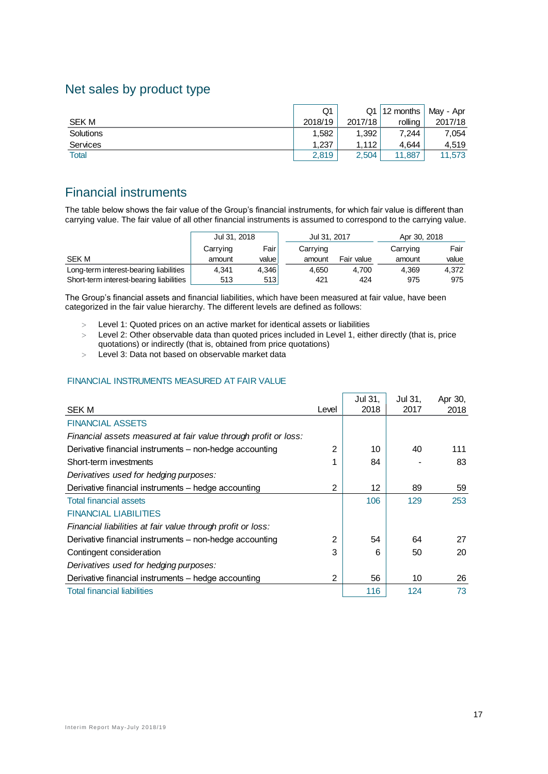### Net sales by product type

|                 | Q1      |         | $Q1$   12 months | May - Apr |
|-----------------|---------|---------|------------------|-----------|
| <b>SEK M</b>    | 2018/19 | 2017/18 | rollina          | 2017/18   |
| Solutions       | 1.582   | 1.392   | 7.244            | 7.054     |
| <b>Services</b> | 1.237   | 1.112   | 4.644            | 4.519     |
| <b>Total</b>    | 2,819   | 2,504   | 11.887           | 11,573    |

### Financial instruments

The table below shows the fair value of the Group's financial instruments, for which fair value is different than carrying value. The fair value of all other financial instruments is assumed to correspond to the carrying value.

|                                         | Jul 31, 2018 |        | Jul 31, 2017 |            | Apr 30, 2018 |       |
|-----------------------------------------|--------------|--------|--------------|------------|--------------|-------|
|                                         | Carrying     | Fairl  | Carrying     |            | Carrying     | Fair  |
| <b>SEK M</b>                            | amount       | valuel | amount       | Fair value | amount       | value |
| Long-term interest-bearing liabilities  | 4.341        | 4.346  | 4.650        | 4.700      | 4.369        | 4.372 |
| Short-term interest-bearing liabilities | 513          | 513    | 421          | 424        | 975          | 975   |

The Group's financial assets and financial liabilities, which have been measured at fair value, have been categorized in the fair value hierarchy. The different levels are defined as follows:

Level 1: Quoted prices on an active market for identical assets or liabilities

 Level 2: Other observable data than quoted prices included in Level 1, either directly (that is, price quotations) or indirectly (that is, obtained from price quotations)

Level 3: Data not based on observable market data

#### FINANCIAL INSTRUMENTS MEASURED AT FAIR VALUE

|                                                                 |                | Jul 31, | Jul 31, | Apr 30, |
|-----------------------------------------------------------------|----------------|---------|---------|---------|
| <b>SEK M</b>                                                    | Level          | 2018    | 2017    | 2018    |
| <b>FINANCIAL ASSETS</b>                                         |                |         |         |         |
| Financial assets measured at fair value through profit or loss: |                |         |         |         |
| Derivative financial instruments - non-hedge accounting         | 2              | 10      | 40      | 111     |
| Short-term investments                                          | 1              | 84      |         | 83      |
| Derivatives used for hedging purposes:                          |                |         |         |         |
| Derivative financial instruments - hedge accounting             | 2              | 12      | 89      | 59      |
| <b>Total financial assets</b>                                   |                | 106     | 129     | 253     |
| <b>FINANCIAL LIABILITIES</b>                                    |                |         |         |         |
| Financial liabilities at fair value through profit or loss:     |                |         |         |         |
| Derivative financial instruments - non-hedge accounting         | $\mathfrak{p}$ | 54      | 64      | 27      |
| Contingent consideration                                        | 3              | 6       | 50      | 20      |
| Derivatives used for hedging purposes:                          |                |         |         |         |
| Derivative financial instruments – hedge accounting             | 2              | 56      | 10      | 26      |
| <b>Total financial liabilities</b>                              |                | 116     | 124     | 73      |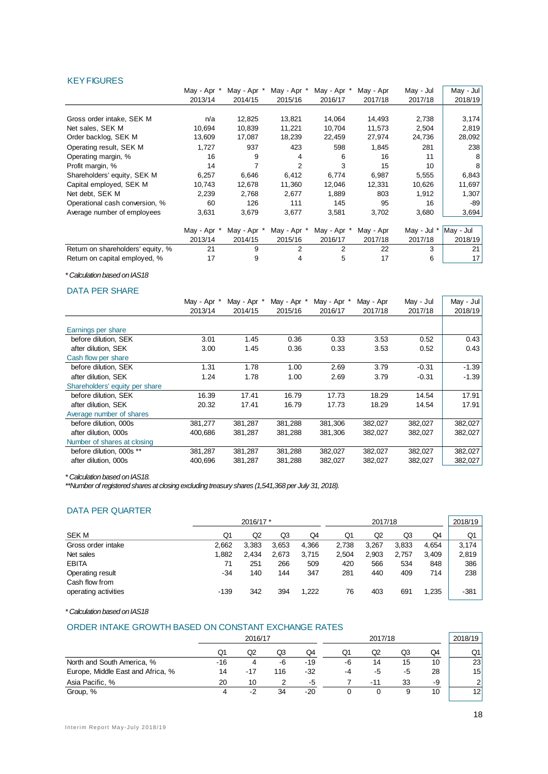#### **KEY FIGURES**

|                                   | May - Apr * | May - Apr * | May - Apr * | May - Apr   | May - Apr | May - Jul   | May - Jul |
|-----------------------------------|-------------|-------------|-------------|-------------|-----------|-------------|-----------|
|                                   | 2013/14     | 2014/15     | 2015/16     | 2016/17     | 2017/18   | 2017/18     | 2018/19   |
|                                   |             |             |             |             |           |             |           |
| Gross order intake, SEK M         | n/a         | 12,825      | 13,821      | 14,064      | 14,493    | 2,738       | 3,174     |
| Net sales, SEK M                  | 10,694      | 10,839      | 11,221      | 10,704      | 11,573    | 2,504       | 2,819     |
| Order backlog, SEK M              | 13,609      | 17,087      | 18,239      | 22,459      | 27,974    | 24,736      | 28,092    |
| Operating result, SEK M           | 1,727       | 937         | 423         | 598         | 1,845     | 281         | 238       |
| Operating margin, %               | 16          | 9           | 4           | 6           | 16        | 11          | 8         |
| Profit margin, %                  | 14          |             | 2           | 3           | 15        | 10          | 8         |
| Shareholders' equity, SEK M       | 6,257       | 6,646       | 6,412       | 6,774       | 6,987     | 5,555       | 6,843     |
| Capital employed, SEK M           | 10,743      | 12,678      | 11,360      | 12,046      | 12,331    | 10,626      | 11,697    |
| Net debt, SEK M                   | 2,239       | 2,768       | 2,677       | 1,889       | 803       | 1,912       | 1,307     |
| Operational cash conversion, %    | 60          | 126         | 111         | 145         | 95        | 16          | -89       |
| Average number of employees       | 3,631       | 3,679       | 3,677       | 3,581       | 3,702     | 3,680       | 3,694     |
|                                   | May - Apr * | May - Apr * | May - Apr   | May - Apr ' | May - Apr | May - Jul * | May - Jul |
|                                   | 2013/14     | 2014/15     | 2015/16     | 2016/17     | 2017/18   | 2017/18     | 2018/19   |
| Return on shareholders' equity, % | 21          | 9           | 2           | 2           | 22        | 3           | 21        |
| Return on capital employed, %     | 17          | 9           | 4           | 5           | 17        | 6           | 17        |

*\* Calculation based on IAS18*

#### DATA PER SHARE

|                                | May - Apr * | May - Apr * | May - Apr * | May - Apr * | May - Apr | May - Jul | May - Jul |
|--------------------------------|-------------|-------------|-------------|-------------|-----------|-----------|-----------|
|                                | 2013/14     | 2014/15     | 2015/16     | 2016/17     | 2017/18   | 2017/18   | 2018/19   |
|                                |             |             |             |             |           |           |           |
| Earnings per share             |             |             |             |             |           |           |           |
| before dilution, SEK           | 3.01        | 1.45        | 0.36        | 0.33        | 3.53      | 0.52      | 0.43      |
| after dilution, SEK            | 3.00        | 1.45        | 0.36        | 0.33        | 3.53      | 0.52      | 0.43      |
| Cash flow per share            |             |             |             |             |           |           |           |
| before dilution, SEK           | 1.31        | 1.78        | 1.00        | 2.69        | 3.79      | $-0.31$   | $-1.39$   |
| after dilution, SEK            | 1.24        | 1.78        | 1.00        | 2.69        | 3.79      | $-0.31$   | $-1.39$   |
| Shareholders' equity per share |             |             |             |             |           |           |           |
| before dilution, SEK           | 16.39       | 17.41       | 16.79       | 17.73       | 18.29     | 14.54     | 17.91     |
| after dilution. SEK            | 20.32       | 17.41       | 16.79       | 17.73       | 18.29     | 14.54     | 17.91     |
| Average number of shares       |             |             |             |             |           |           |           |
| before dilution, 000s          | 381,277     | 381,287     | 381,288     | 381,306     | 382,027   | 382,027   | 382,027   |
| after dilution, 000s           | 400,686     | 381,287     | 381,288     | 381,306     | 382,027   | 382,027   | 382,027   |
| Number of shares at closing    |             |             |             |             |           |           |           |
| before dilution, 000s **       | 381,287     | 381,287     | 381,288     | 382,027     | 382,027   | 382,027   | 382,027   |
| after dilution, 000s           | 400,696     | 381,287     | 381,288     | 382,027     | 382,027   | 382,027   | 382,027   |

*\* Calculation based on IAS18.* 

*\*\*Number of registered shares at closing excluding treasury shares (1,541,368 per July 31, 2018).*

#### DATA PER QUARTER

| —————————————————                  |           |       |       |         |       |       |       |         |        |
|------------------------------------|-----------|-------|-------|---------|-------|-------|-------|---------|--------|
|                                    | 2016/17 * |       |       | 2017/18 |       |       |       | 2018/19 |        |
| SEK M                              | Q1        | Q2    | Q3    | Q4      | Q1    | Q2    | Q3    | Q4      | Q1     |
| Gross order intake                 | 2.662     | 3,383 | 3,653 | 4,366   | 2,738 | 3.267 | 3,833 | 4.654   | 3.174  |
| Net sales                          | 1.882     | 2,434 | 2,673 | 3,715   | 2,504 | 2,903 | 2.757 | 3,409   | 2,819  |
| <b>EBITA</b>                       | 71        | 251   | 266   | 509     | 420   | 566   | 534   | 848     | 386    |
| Operating result<br>Cash flow from | -34       | 140   | 144   | 347     | 281   | 440   | 409   | 714     | 238    |
| operating activities               | $-139$    | 342   | 394   | 1,222   | 76    | 403   | 691   | 1,235   | $-381$ |

*\* Calculation based on IAS18*

#### ORDER INTAKE GROWTH BASED ON CONSTANT EXCHANGE RATES

|                                   |     | 2016/17 |     |       | 2017/18 |     |    |    | 2018/19       |
|-----------------------------------|-----|---------|-----|-------|---------|-----|----|----|---------------|
|                                   | Q1  | Q2      | Q3  | Q4    | Q1      | Q2  | Q3 | Q4 | Q1            |
| North and South America, %        | -16 | 4       | -6  | $-19$ | -6      | 14  | 15 | 10 | 23            |
| Europe, Middle East and Africa, % | 14  | $-17$   | 116 | $-32$ | -4      | -5  | -5 | 28 | 15            |
| Asia Pacific, %                   | 20  | 10      |     | -5    |         | -11 | 33 | -9 | $\mathcal{P}$ |
| Group, %                          |     | -2      | 34  | $-20$ |         |     |    | 10 | 12            |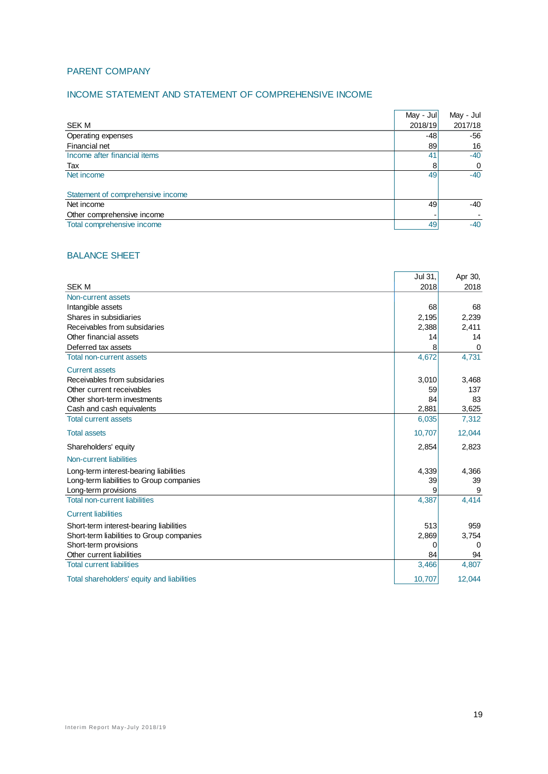### PARENT COMPANY

#### INCOME STATEMENT AND STATEMENT OF COMPREHENSIVE INCOME

|                                   | May - Jul | May - Jul |
|-----------------------------------|-----------|-----------|
| SEK M                             | 2018/19   | 2017/18   |
| Operating expenses                | -48       | -56       |
| Financial net                     | 89        | 16        |
| Income after financial items      | 41        | $-40$     |
| Tax                               | 8         | 0         |
| Net income                        | 49        | $-40$     |
|                                   |           |           |
| Statement of comprehensive income |           |           |
| Net income                        | 49        | $-40$     |
| Other comprehensive income        |           |           |
| Total comprehensive income        | 49        | $-40$     |

#### BALANCE SHEET

|                                            | Jul 31, | Apr 30, |
|--------------------------------------------|---------|---------|
| <b>SEK M</b>                               | 2018    | 2018    |
| Non-current assets                         |         |         |
| Intangible assets                          | 68      | 68      |
| Shares in subsidiaries                     | 2,195   | 2,239   |
| Receivables from subsidaries               | 2,388   | 2,411   |
| Other financial assets                     | 14      | 14      |
| Deferred tax assets                        | 8       | 0       |
| <b>Total non-current assets</b>            | 4,672   | 4,731   |
| <b>Current assets</b>                      |         |         |
| Receivables from subsidaries               | 3,010   | 3,468   |
| Other current receivables                  | 59      | 137     |
| Other short-term investments               | 84      | 83      |
| Cash and cash equivalents                  | 2,881   | 3,625   |
| <b>Total current assets</b>                | 6,035   | 7,312   |
| <b>Total assets</b>                        | 10,707  | 12,044  |
| Shareholders' equity                       | 2,854   | 2,823   |
| Non-current liabilities                    |         |         |
| Long-term interest-bearing liabilities     | 4,339   | 4,366   |
| Long-term liabilities to Group companies   | 39      | 39      |
| Long-term provisions                       | 9       | 9       |
| <b>Total non-current liabilities</b>       | 4,387   | 4,414   |
| <b>Current liabilities</b>                 |         |         |
| Short-term interest-bearing liabilities    | 513     | 959     |
| Short-term liabilities to Group companies  | 2,869   | 3,754   |
| Short-term provisions                      | 0       | 0       |
| Other current liabilities                  | 84      | 94      |
| <b>Total current liabilities</b>           | 3,466   | 4,807   |
| Total shareholders' equity and liabilities | 10,707  | 12,044  |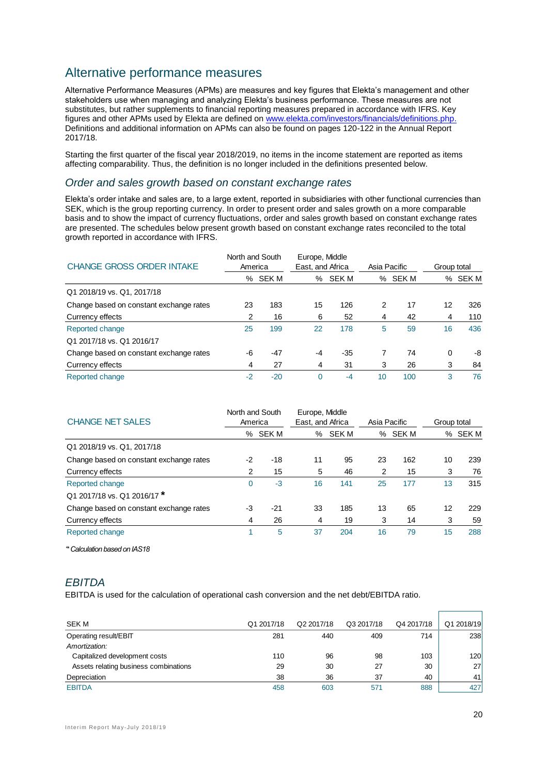### Alternative performance measures

Alternative Performance Measures (APMs) are measures and key figures that Elekta's management and other stakeholders use when managing and analyzing Elekta's business performance. These measures are not substitutes, but rather supplements to financial reporting measures prepared in accordance with IFRS. Key figures and other APMs used by Elekta are defined on [www.elekta.com/investors/financials/definitions.php.](http://www.elekta.com/investors/financials/definitions.php) Definitions and additional information on APMs can also be found on pages 120-122 in the Annual Report 2017/18.

Starting the first quarter of the fiscal year 2018/2019, no items in the income statement are reported as items affecting comparability. Thus, the definition is no longer included in the definitions presented below.

### *Order and sales growth based on constant exchange rates*

Elekta's order intake and sales are, to a large extent, reported in subsidiaries with other functional currencies than SEK, which is the group reporting currency. In order to present order and sales growth on a more comparable basis and to show the impact of currency fluctuations, order and sales growth based on constant exchange rates are presented. The schedules below present growth based on constant exchange rates reconciled to the total growth reported in accordance with IFRS.

| <b>CHANGE GROSS ORDER INTAKE</b>        | North and South<br>America |         | Europe, Middle<br>East, and Africa |       | Asia Pacific |         | Group total |         |
|-----------------------------------------|----------------------------|---------|------------------------------------|-------|--------------|---------|-------------|---------|
|                                         |                            | % SEK M | ℅                                  | SEK M |              | % SEK M |             | % SEK M |
| Q1 2018/19 vs. Q1, 2017/18              |                            |         |                                    |       |              |         |             |         |
| Change based on constant exchange rates | 23                         | 183     | 15                                 | 126   | 2            | 17      | 12          | 326     |
| Currency effects                        | 2                          | 16      | 6                                  | 52    | 4            | 42      | 4           | 110     |
| Reported change                         | 25                         | 199     | 22                                 | 178   | 5            | 59      | 16          | 436     |
| Q1 2017/18 vs. Q1 2016/17               |                            |         |                                    |       |              |         |             |         |
| Change based on constant exchange rates | -6                         | $-47$   | $-4$                               | $-35$ |              | 74      | $\Omega$    | -8      |
| Currency effects                        | 4                          | 27      | 4                                  | 31    | 3            | 26      | 3           | 84      |
| Reported change                         | $-2$                       | $-20$   | $\Omega$                           | $-4$  | 10           | 100     | 3           | 76      |

| <b>CHANGE NET SALES</b>                 | North and South<br>America |              | Europe, Middle<br>East, and Africa |              | Asia Pacific |              | Group total |       |
|-----------------------------------------|----------------------------|--------------|------------------------------------|--------------|--------------|--------------|-------------|-------|
|                                         | ℅                          | <b>SEK M</b> | ℅                                  | <b>SEK M</b> | ℅            | <b>SEK M</b> | ℅           | SEK M |
| Q1 2018/19 vs. Q1, 2017/18              |                            |              |                                    |              |              |              |             |       |
| Change based on constant exchange rates | $-2$                       | -18          | 11                                 | 95           | 23           | 162          | 10          | 239   |
| Currency effects                        | 2                          | 15           | 5                                  | 46           | 2            | 15           | 3           | 76    |
| Reported change                         | 0                          | $-3$         | 16                                 | 141          | 25           | 177          | 13          | 315   |
| Q1 2017/18 vs. Q1 2016/17*              |                            |              |                                    |              |              |              |             |       |
| Change based on constant exchange rates | -3                         | $-21$        | 33                                 | 185          | 13           | 65           | 12          | 229   |
| Currency effects                        | 4                          | 26           | 4                                  | 19           | 3            | 14           | 3           | 59    |
| Reported change                         |                            | 5            | 37                                 | 204          | 16           | 79           | 15          | 288   |

*'\* Calculation based on IAS18*

### *EBITDA*

EBITDA is used for the calculation of operational cash conversion and the net debt/EBITDA ratio.

| <b>SEKM</b>                           | Q1 2017/18 | Q2 2017/18 | Q3 2017/18 | Q4 2017/18 | Q1 2018/19 |
|---------------------------------------|------------|------------|------------|------------|------------|
| Operating result/EBIT                 | 281        | 440        | 409        | 714        | 238        |
| Amortization:                         |            |            |            |            |            |
| Capitalized development costs         | 110        | 96         | 98         | 103        | 120        |
| Assets relating business combinations | 29         | 30         | 27         | 30         | 27         |
| Depreciation                          | 38         | 36         | 37         | 40         | 41         |
| <b>EBITDA</b>                         | 458        | 603        | 571        | 888        | 427        |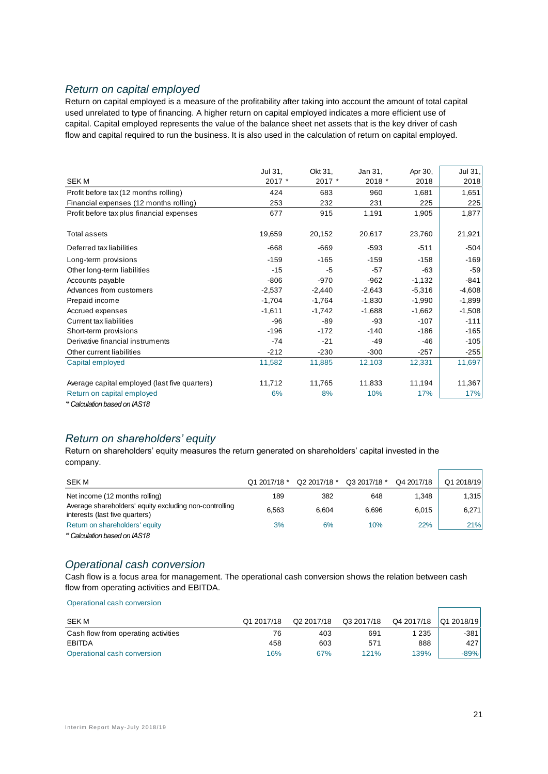### *Return on capital employed*

Return on capital employed is a measure of the profitability after taking into account the amount of total capital used unrelated to type of financing. A higher return on capital employed indicates a more efficient use of capital. Capital employed represents the value of the balance sheet net assets that is the key driver of cash flow and capital required to run the business. It is also used in the calculation of return on capital employed.

|                                               | Jul 31,  | Okt 31,  | Jan 31,  | Apr 30,  | Jul 31,  |
|-----------------------------------------------|----------|----------|----------|----------|----------|
| <b>SEKM</b>                                   | 2017 *   | 2017 *   | 2018 *   | 2018     | 2018     |
| Profit before tax (12 months rolling)         | 424      | 683      | 960      | 1,681    | 1,651    |
| Financial expenses (12 months rolling)        | 253      | 232      | 231      | 225      | 225      |
| Profit before tax plus financial expenses     | 677      | 915      | 1,191    | 1,905    | 1,877    |
| Total assets                                  | 19,659   | 20,152   | 20,617   | 23,760   | 21,921   |
| Deferred tax liabilities                      | $-668$   | $-669$   | $-593$   | $-511$   | $-504$   |
| Long-term provisions                          | $-159$   | $-165$   | $-159$   | $-158$   | $-169$   |
| Other long-term liabilities                   | $-15$    | -5       | $-57$    | $-63$    | $-59$    |
| Accounts payable                              | $-806$   | $-970$   | $-962$   | $-1,132$ | -841     |
| Advances from customers                       | $-2,537$ | $-2,440$ | $-2,643$ | $-5,316$ | $-4,608$ |
| Prepaid income                                | $-1,704$ | $-1,764$ | $-1,830$ | $-1,990$ | $-1,899$ |
| Accrued expenses                              | $-1,611$ | $-1,742$ | $-1,688$ | $-1,662$ | $-1,508$ |
| Current tax liabilities                       | $-96$    | -89      | $-93$    | $-107$   | $-111$   |
| Short-term provisions                         | $-196$   | $-172$   | $-140$   | $-186$   | $-165$   |
| Derivative financial instruments              | $-74$    | $-21$    | $-49$    | $-46$    | $-105$   |
| Other current liabilities                     | $-212$   | $-230$   | $-300$   | $-257$   | $-255$   |
| Capital employed                              | 11,582   | 11,885   | 12,103   | 12,331   | 11,697   |
| Average capital employed (last five quarters) | 11,712   | 11,765   | 11,833   | 11,194   | 11,367   |
| Return on capital employed                    | 6%       | 8%       | 10%      | 17%      | 17%      |
| * Calculation based on IAS18                  |          |          |          |          |          |

#### *'\* Calculation based on IAS18*

### *Return on shareholders' equity*

Return on shareholders' equity measures the return generated on shareholders' capital invested in the company.

| <b>SEK M</b>                                                                             | Q1 2017/18 * | Q2 2017/18 * | Q3 2017/18 * | Q4 2017/18 | Q1 2018/19 |
|------------------------------------------------------------------------------------------|--------------|--------------|--------------|------------|------------|
| Net income (12 months rolling)                                                           | 189          | 382          | 648          | 1.348      | 1,315      |
| Average shareholders' equity excluding non-controlling<br>interests (last five quarters) | 6.563        | 6.604        | 6.696        | 6,015      | 6,271      |
| Return on shareholders' equity                                                           | 3%           | 6%           | 10%          | 22%        | <b>21%</b> |
| <i>A</i> Calculation based on IAS18                                                      |              |              |              |            |            |

#### *Operational cash conversion*

Cash flow is a focus area for management. The operational cash conversion shows the relation between cash flow from operating activities and EBITDA.

| Operational cash conversion         |            |            |            |            |            |
|-------------------------------------|------------|------------|------------|------------|------------|
|                                     |            |            |            |            |            |
| <b>SEK M</b>                        | Q1 2017/18 | Q2 2017/18 | Q3 2017/18 | Q4 2017/18 | Q1 2018/19 |
| Cash flow from operating activities | 76         | 403        | 691        | 1 235      | $-381$     |
| EBITDA                              | 458        | 603        | 571        | 888        | 427        |
| Operational cash conversion         | 16%        | 67%        | 121%       | 139%       | $-89%$     |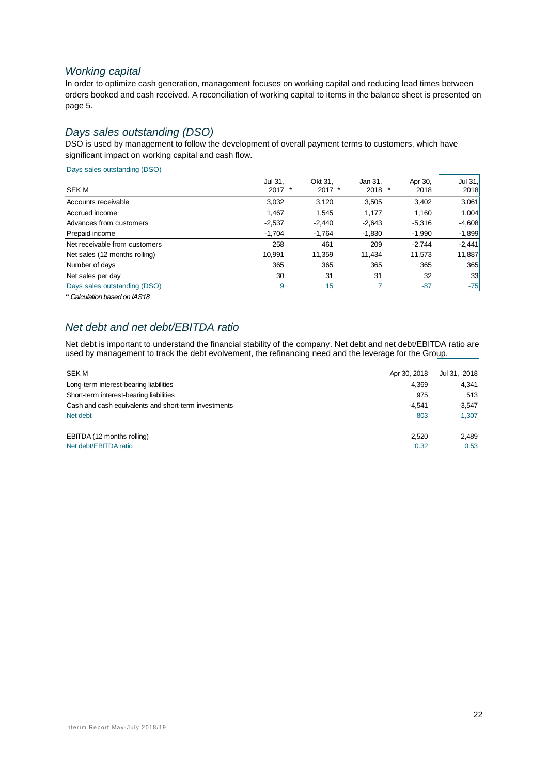### *Working capital*

In order to optimize cash generation, management focuses on working capital and reducing lead times between orders booked and cash received. A reconciliation of working capital to items in the balance sheet is presented on page 5.

### *Days sales outstanding (DSO)*

DSO is used by management to follow the development of overall payment terms to customers, which have significant impact on working capital and cash flow.

Days sales outstanding (DSO)

|                               | Jul 31,  | Okt 31.  | Jan 31,  | Apr 30,  | Jul 31,  |
|-------------------------------|----------|----------|----------|----------|----------|
| <b>SEKM</b>                   | $2017$ * | $2017$ * | $2018$ * | 2018     | 2018     |
| Accounts receivable           | 3,032    | 3.120    | 3,505    | 3,402    | 3,061    |
| Accrued income                | 1.467    | 1.545    | 1.177    | 1,160    | 1,004    |
| Advances from customers       | $-2,537$ | $-2.440$ | $-2,643$ | $-5,316$ | $-4,608$ |
| Prepaid income                | $-1.704$ | $-1,764$ | $-1,830$ | $-1,990$ | $-1,899$ |
| Net receivable from customers | 258      | 461      | 209      | $-2,744$ | $-2,441$ |
| Net sales (12 months rolling) | 10.991   | 11.359   | 11.434   | 11,573   | 11,887   |
| Number of days                | 365      | 365      | 365      | 365      | 365      |
| Net sales per day             | 30       | 31       | 31       | 32       | 33       |
| Days sales outstanding (DSO)  | 9        | 15       |          | $-87$    | $-75$    |
| * Calculation based on IAS18  |          |          |          |          |          |

### *Net debt and net debt/EBITDA ratio*

Net debt is important to understand the financial stability of the company. Net debt and net debt/EBITDA ratio are used by management to track the debt evolvement, the refinancing need and the leverage for the Group.  $\overline{\phantom{0}}$ 

| SEK M                                                | Apr 30, 2018 | Jul 31, 2018 |
|------------------------------------------------------|--------------|--------------|
| Long-term interest-bearing liabilities               | 4,369        | 4,341        |
| Short-term interest-bearing liabilities              | 975          | 513          |
| Cash and cash equivalents and short-term investments | $-4.541$     | $-3,547$     |
| Net debt                                             | 803          | 1,307        |
|                                                      |              |              |
| EBITDA (12 months rolling)                           | 2,520        | 2,489        |
| Net debt/EBITDA ratio                                | 0.32         | 0.53         |